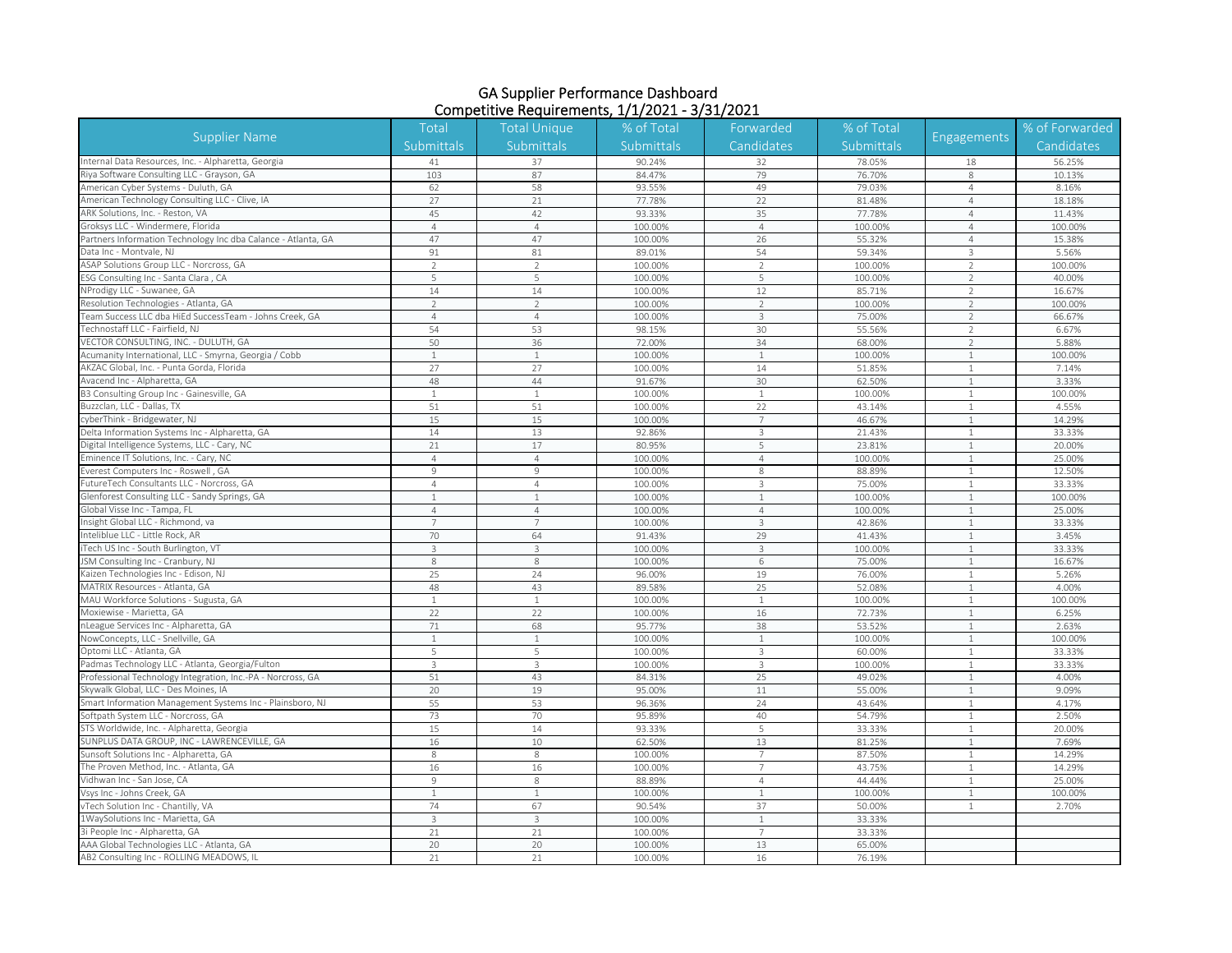| <b>Supplier Name</b>                                                                                                                                                               | Total          | <b>Total Unique</b> | % of Total | Forwarded      | % of Total        | Engagements    | % of Forwarded |
|------------------------------------------------------------------------------------------------------------------------------------------------------------------------------------|----------------|---------------------|------------|----------------|-------------------|----------------|----------------|
|                                                                                                                                                                                    | Submittals     | Submittals          | Submittals | Candidates     | <b>Submittals</b> |                | Candidates     |
| nternal Data Resources, Inc. - Alpharetta, Georgia                                                                                                                                 | 41             | 37                  | 90.24%     | 32             | 78.05%            | 18             | 56.25%         |
| Riya Software Consulting LLC - Grayson, GA                                                                                                                                         | 103            | 87                  | 84.47%     | 79             | 76.70%            | 8              | 10.13%         |
| American Cyber Systems - Duluth, GA                                                                                                                                                | 62             | 58                  | 93.55%     | 49             | 79.03%            | $\overline{4}$ | 8.16%          |
| American Technology Consulting LLC - Clive, IA                                                                                                                                     | 27             | 21                  | 77.78%     | 22             | 81.48%            | $\overline{4}$ | 18.18%         |
| ARK Solutions, Inc. - Reston, VA                                                                                                                                                   | 45             | 42                  | 93.33%     | 35             | 77.78%            | $\overline{4}$ | 11.43%         |
| Groksys LLC - Windermere, Florida                                                                                                                                                  | $\overline{4}$ | $\overline{4}$      | 100.00%    | $\overline{4}$ | 100.00%           | $\overline{4}$ | 100.00%        |
| Partners Information Technology Inc dba Calance - Atlanta, GA                                                                                                                      | 47             | 47                  | 100.00%    | 26             | 55.32%            | $\overline{4}$ | 15.38%         |
| Data Inc - Montvale, NJ                                                                                                                                                            | 91             | 81                  | 89.01%     | 54             | 59.34%            | $\mathbf{3}$   | 5.56%          |
| ASAP Solutions Group LLC - Norcross, GA                                                                                                                                            | $\overline{2}$ | $\overline{2}$      | 100.00%    | $\overline{2}$ | 100.00%           | $\overline{2}$ | 100.00%        |
| ESG Consulting Inc - Santa Clara, CA                                                                                                                                               | 5              | 5                   | 100.00%    | 5              | 100.00%           | $\overline{2}$ | 40.00%         |
| NProdigy LLC - Suwanee, GA                                                                                                                                                         | 14             | 14                  | 100.00%    | 12             | 85.71%            | $\overline{2}$ | 16.67%         |
| Resolution Technologies - Atlanta, GA                                                                                                                                              | $\overline{2}$ | $\overline{2}$      | 100.00%    | $\overline{2}$ | 100.00%           | $\overline{2}$ | 100.00%        |
| eam Success LLC dba HiEd SuccessTeam - Johns Creek, GA                                                                                                                             | $\overline{4}$ | $\overline{4}$      | 100.00%    | 3              | 75.00%            | $\overline{2}$ | 66.67%         |
| <b>Technostaff LLC - Fairfield, NJ</b>                                                                                                                                             | 54             | 53                  | 98.15%     | 30             | 55.56%            | $\overline{2}$ | 6.67%          |
| VECTOR CONSULTING, INC. - DULUTH, GA                                                                                                                                               | 50             | 36                  | 72.00%     | 34             | 68.00%            | $\overline{2}$ | 5.88%          |
| Acumanity International, LLC - Smyrna, Georgia / Cobb                                                                                                                              | $\mathbf{1}$   | $\mathbf{1}$        | 100.00%    | $\mathbf{1}$   | 100.00%           | $\mathbf{1}$   | 100.00%        |
| AKZAC Global, Inc. - Punta Gorda, Florida                                                                                                                                          | 27             | 27                  | 100.00%    | 14             | 51.85%            | $\mathbf{1}$   | 7.14%          |
| Avacend Inc - Alpharetta, GA                                                                                                                                                       | 48             | 44                  | 91.67%     | 30             | 62.50%            | $\mathbf{1}$   | 3.33%          |
| B3 Consulting Group Inc - Gainesville, GA                                                                                                                                          | $\mathbf{1}$   | $\mathbf{1}$        | 100.00%    | $\mathbf{1}$   | 100.00%           | $\mathbf{1}$   | 100.00%        |
| Buzzclan, LLC - Dallas, TX                                                                                                                                                         | 51             | 51                  | 100.00%    | 22             | 43.14%            | -1             | 4.55%          |
| cyberThink - Bridgewater, NJ                                                                                                                                                       | 15             | 15                  | 100.00%    | $\overline{7}$ | 46.67%            | $\mathbf{1}$   | 14.29%         |
| Delta Information Systems Inc - Alpharetta, GA                                                                                                                                     | 14             | 13                  | 92.86%     | $\mathbf{3}$   | 21.43%            | $\mathbf{1}$   | 33.33%         |
| igital Intelligence Systems, LLC - Cary, NC                                                                                                                                        | 21             | 17                  | 80.95%     | 5              | 23.81%            | $\mathbf{1}$   | 20.00%         |
| minence IT Solutions, Inc. - Cary, NC                                                                                                                                              | $\overline{4}$ | $\overline{4}$      | 100.00%    | $\overline{4}$ | 100.00%           | $\mathbf{1}$   | 25.00%         |
| verest Computers Inc - Roswell, GA                                                                                                                                                 | $\overline{9}$ | 9                   | 100.00%    | 8              | 88.89%            | $\mathbf{1}$   | 12.50%         |
| utureTech Consultants LLC - Norcross, GA                                                                                                                                           | $\overline{A}$ | $\overline{4}$      | 100.00%    | $\overline{3}$ | 75.00%            | $\overline{1}$ | 33.33%         |
| lenforest Consulting LLC - Sandy Springs, GA                                                                                                                                       | $\mathbf{1}$   |                     | 100.00%    | 1              | 100.00%           | 1              | 100.00%        |
| Global Visse Inc - Tampa, FL                                                                                                                                                       | $\overline{4}$ | $\overline{4}$      | 100.00%    | $\overline{4}$ | 100.00%           | $\overline{1}$ | 25.00%         |
| Insight Global LLC - Richmond, va                                                                                                                                                  | $\overline{7}$ | $\overline{7}$      | 100.00%    | $\mathbf{3}$   | 42.86%            | $\mathbf{1}$   | 33.33%         |
| nteliblue LLC - Little Rock, AR                                                                                                                                                    | 70             | 64                  | 91.43%     | 29             | 41.43%            | $\mathbf{1}$   | 3.45%          |
| Tech US Inc - South Burlington, VT                                                                                                                                                 | $\mathbf{3}$   | 3                   | 100.00%    | 3              | 100.00%           | $\mathbf{1}$   | 33.33%         |
| ISM Consulting Inc - Cranbury, NJ                                                                                                                                                  | 8              | 8                   | 100.00%    | 6              | 75.00%            | $\mathbf{1}$   | 16.67%         |
| <aizen -="" edison,="" inc="" nj<="" td="" technologies=""><td>25</td><td>24</td><td>96.00%</td><td>19</td><td>76.00%</td><td><math>\overline{1}</math></td><td>5.26%</td></aizen> | 25             | 24                  | 96.00%     | 19             | 76.00%            | $\overline{1}$ | 5.26%          |
| MATRIX Resources - Atlanta, GA                                                                                                                                                     | 48             | 43                  | 89.58%     | 25             | 52.08%            | $\mathbf{1}$   | 4.00%          |
| MAU Workforce Solutions - Sugusta, GA                                                                                                                                              | $\mathbf{1}$   | $\mathbf{1}$        | 100.00%    | $\mathbf{1}$   | 100.00%           | $\mathbf{1}$   | 100.00%        |
| Moxiewise - Marietta, GA                                                                                                                                                           | 22             | 22                  | 100.00%    | 16             | 72.73%            | $\mathbf{1}$   | 6.25%          |
| League Services Inc - Alpharetta, GA                                                                                                                                               | 71             | 68                  | 95.77%     | 38             | 53.52%            | $\mathbf{1}$   | 2.63%          |
| NowConcepts, LLC - Snellville, GA                                                                                                                                                  | $\mathbf{1}$   | 1                   | 100.00%    | $\mathbf{1}$   | 100.00%           | $\mathbf{1}$   | 100.00%        |
| Optomi LLC - Atlanta, GA                                                                                                                                                           | 5              | 5                   | 100.00%    | 3              | 60.00%            | $\mathbf{1}$   | 33.33%         |
| admas Technology LLC - Atlanta, Georgia/Fulton                                                                                                                                     | $\overline{3}$ | 3                   | 100.00%    | 3              | 100.00%           | $\mathbf{1}$   | 33.33%         |
| rofessional Technology Integration, Inc.-PA - Norcross, GA                                                                                                                         | 51             | 43                  | 84.31%     | 25             | 49.02%            | 1              | 4.00%          |
| kywalk Global, LLC - Des Moines, IA                                                                                                                                                | 20             | 19                  | 95.00%     | 11             | 55.00%            | $\mathbf{1}$   | 9.09%          |
| mart Information Management Systems Inc - Plainsboro, NJ                                                                                                                           | 55             | 53                  | 96.36%     | 24             | 43.64%            | $\mathbf{1}$   | 4.17%          |
| oftpath System LLC - Norcross, GA                                                                                                                                                  | 73             | 70                  | 95.89%     | 40             | 54.79%            | $\mathbf{1}$   | 2.50%          |
| STS Worldwide, Inc. - Alpharetta, Georgia                                                                                                                                          | 15             | 14                  | 93.33%     | 5              | 33.33%            | $\mathbf{1}$   | 20.00%         |
| SUNPLUS DATA GROUP, INC - LAWRENCEVILLE, GA                                                                                                                                        | 16             | 10                  | 62.50%     | 13             | 81.25%            | $\mathbf{1}$   | 7.69%          |
| unsoft Solutions Inc - Alpharetta, GA                                                                                                                                              | 8              | 8                   | 100.00%    | $\overline{7}$ | 87.50%            | $\mathbf{1}$   | 14.29%         |
| The Proven Method, Inc. - Atlanta, GA                                                                                                                                              | 16             | 16                  | 100.00%    | $\overline{7}$ | 43.75%            | $\mathbf{1}$   | 14.29%         |
| Vidhwan Inc - San Jose, CA                                                                                                                                                         | $\overline{9}$ | 8                   | 88.89%     | $\overline{4}$ | 44.44%            | $\mathbf{1}$   | 25.00%         |
| Vsys Inc - Johns Creek, GA                                                                                                                                                         | $\mathbf{1}$   | $\mathbf{1}$        | 100.00%    | $\mathbf{1}$   | 100.00%           | $\mathbf{1}$   | 100.00%        |
| Tech Solution Inc - Chantilly, VA                                                                                                                                                  | 74             | 67                  | 90.54%     | 37             | 50.00%            | $\mathbf{1}$   | 2.70%          |
| 1WaySolutions Inc - Marietta, GA                                                                                                                                                   | $\mathcal{R}$  | 3                   | 100.00%    | $\mathbf{1}$   | 33.33%            |                |                |
| 3i People Inc - Alpharetta, GA                                                                                                                                                     | 21             | 21                  | 100.00%    | $\overline{7}$ | 33.33%            |                |                |
| AAA Global Technologies LLC - Atlanta, GA                                                                                                                                          | 20             | 20                  | 100.00%    | 13             | 65.00%            |                |                |
| AB2 Consulting Inc - ROLLING MEADOWS, IL                                                                                                                                           | 21             | 21                  | 100.00%    | 16             | 76.19%            |                |                |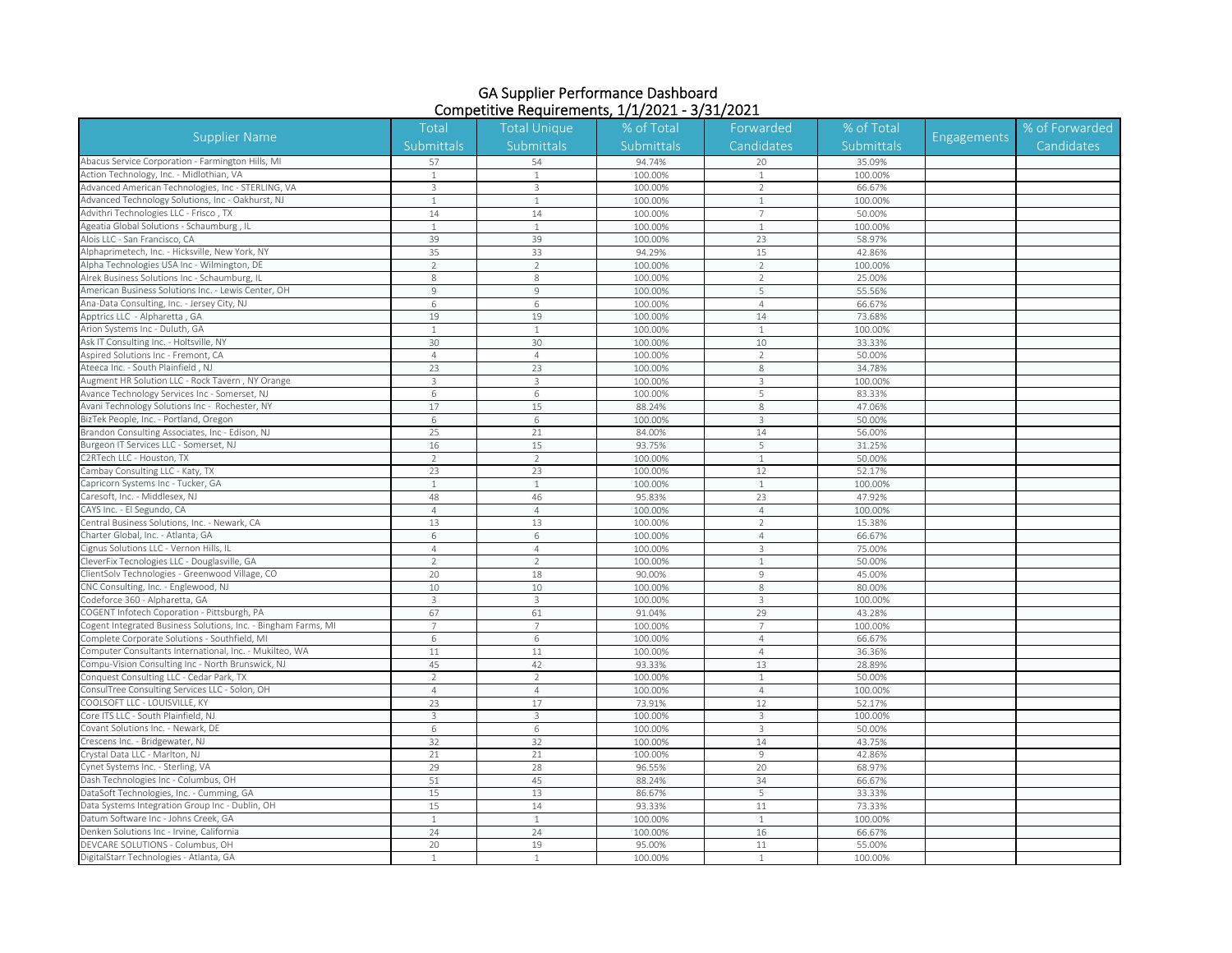| <b>Supplier Name</b>                                          | Total          | <b>Total Unique</b> | % of Total | Forwarded                | % of Total | <b>Engagements</b> | % of Forwarded |
|---------------------------------------------------------------|----------------|---------------------|------------|--------------------------|------------|--------------------|----------------|
|                                                               | Submittals     | Submittals          | Submittals | Candidates               | Submittals |                    | Candidates     |
| Abacus Service Corporation - Farmington Hills, MI             | 57             | 54                  | 94.74%     | 20                       | 35.09%     |                    |                |
| Action Technology, Inc. - Midlothian, VA                      |                |                     | 100.00%    |                          | 100.00%    |                    |                |
| Advanced American Technologies, Inc - STERLING, VA            | 3              | 3                   | 100.00%    | $\overline{2}$           | 66.67%     |                    |                |
| Advanced Technology Solutions, Inc - Oakhurst, NJ             | $\mathbf{1}$   | $\mathbf{1}$        | 100.00%    | $\mathbf{1}$             | 100.00%    |                    |                |
| Advithri Technologies LLC - Frisco, TX                        | 14             | 14                  | 100.00%    | $7\overline{ }$          | 50.00%     |                    |                |
| Ageatia Global Solutions - Schaumburg, IL                     | 1              | $\mathbf{1}$        | 100.00%    | $\mathbf{1}$             | 100.00%    |                    |                |
| Alois LLC - San Francisco, CA                                 | 39             | 39                  | 100.00%    | 23                       | 58.97%     |                    |                |
| Alphaprimetech, Inc. - Hicksville, New York, NY               | 35             | 33                  | 94.29%     | 15                       | 42.86%     |                    |                |
| Alpha Technologies USA Inc - Wilmington, DE                   | $\overline{2}$ | $\overline{2}$      | 100.00%    | $\overline{2}$           | 100.00%    |                    |                |
| Alrek Business Solutions Inc - Schaumburg, IL                 | 8              | 8                   | 100.00%    | 2                        | 25.00%     |                    |                |
| American Business Solutions Inc. - Lewis Center, OH           | $\overline{9}$ | 9                   | 100.00%    | 5                        | 55.56%     |                    |                |
| Ana-Data Consulting, Inc. - Jersey City, NJ                   | 6              | 6                   | 100.00%    | $\overline{4}$           | 66.67%     |                    |                |
| Apptrics LLC - Alpharetta, GA                                 | 19             | 19                  | 100.00%    | 14                       | 73.68%     |                    |                |
| Arion Systems Inc - Duluth, GA                                |                |                     | 100.00%    |                          | 100.00%    |                    |                |
| Ask IT Consulting Inc. - Holtsville, NY                       | 30             | 30                  | 100.00%    | 10                       | 33.33%     |                    |                |
| Aspired Solutions Inc - Fremont, CA                           | $\overline{4}$ | $\overline{4}$      | 100.00%    | $\overline{\phantom{a}}$ | 50.00%     |                    |                |
| Ateeca Inc. - South Plainfield, NJ                            | 23             | 23                  | 100.00%    | $\,8\,$                  | 34.78%     |                    |                |
| Augment HR Solution LLC - Rock Tavern, NY Orange              | $\overline{3}$ | $\overline{3}$      | 100.00%    | $\mathbf{3}$             | 100.00%    |                    |                |
| Avance Technology Services Inc - Somerset, NJ                 | 6              | 6                   | 100.00%    | 5                        | 83.33%     |                    |                |
| Avani Technology Solutions Inc - Rochester, NY                | 17             | 15                  | 88.24%     | 8                        | 47.06%     |                    |                |
| BizTek People, Inc. - Portland, Oregon                        | 6              | 6                   | 100.00%    | $\overline{3}$           | 50.00%     |                    |                |
| Brandon Consulting Associates, Inc - Edison, NJ               | 25             | 21                  | 84.00%     | 14                       | 56.00%     |                    |                |
| Burgeon IT Services LLC - Somerset, NJ                        | 16             | 15                  | 93.75%     | 5                        | 31.25%     |                    |                |
| 2RTech LLC - Houston, TX                                      | $\mathcal{D}$  | $\overline{2}$      | 100.00%    | $\mathbf{1}$             | 50.00%     |                    |                |
| Cambay Consulting LLC - Katy, TX                              | 23             | 23                  | 100.00%    | 12                       | 52.17%     |                    |                |
| apricorn Systems Inc - Tucker, GA                             |                | $\mathbf{1}$        | 100.00%    | $\mathbf{1}$             | 100.00%    |                    |                |
| aresoft, Inc. - Middlesex, NJ                                 | 48             | 46                  | 95.83%     | 23                       | 47.92%     |                    |                |
| CAYS Inc. - El Segundo, CA                                    | $\overline{4}$ | $\overline{4}$      | 100.00%    | $\overline{4}$           | 100.00%    |                    |                |
| Central Business Solutions, Inc. - Newark, CA                 | 13             | 13                  | 100.00%    | $\overline{2}$           | 15.38%     |                    |                |
| Charter Global, Inc. - Atlanta, GA                            | 6              | 6                   | 100.00%    | $\overline{4}$           | 66.67%     |                    |                |
| Cignus Solutions LLC - Vernon Hills, IL                       | $\overline{4}$ | $\overline{4}$      | 100.00%    | 3                        | 75.00%     |                    |                |
| CleverFix Tecnologies LLC - Douglasville, GA                  | $\overline{2}$ | $\overline{2}$      | 100.00%    | $\mathbf{1}$             | 50.00%     |                    |                |
| ClientSolv Technologies - Greenwood Village, CO               | 20             | 18                  | 90.00%     | $\overline{9}$           | 45.00%     |                    |                |
| CNC Consulting, Inc. - Englewood, NJ                          | 10             | 10                  | 100.00%    | 8                        | 80.00%     |                    |                |
| Codeforce 360 - Alpharetta, GA                                | $\overline{3}$ | 3                   | 100.00%    | $\mathbf{3}$             | 100.00%    |                    |                |
| COGENT Infotech Coporation - Pittsburgh, PA                   | 67             | 61                  | 91.04%     | 29                       | 43.28%     |                    |                |
| ogent Integrated Business Solutions, Inc. - Bingham Farms, MI |                | 7                   | 100.00%    | $\overline{7}$           | 100.00%    |                    |                |
| Complete Corporate Solutions - Southfield, MI                 | 6              | 6                   | 100.00%    | $\overline{4}$           | 66.67%     |                    |                |
| Computer Consultants International, Inc. - Mukilteo, WA       | 11             | 11                  | 100.00%    | $\overline{4}$           | 36.36%     |                    |                |
| ompu-Vision Consulting Inc - North Brunswick, NJ              | 45             | 42                  | 93.33%     | 13                       | 28.89%     |                    |                |
| onquest Consulting LLC - Cedar Park, TX                       | $\mathcal{P}$  | $\overline{2}$      | 100.00%    | 1                        | 50.00%     |                    |                |
| ConsulTree Consulting Services LLC - Solon, OH                | $\overline{4}$ | $\overline{4}$      | 100.00%    | $\overline{4}$           | 100.00%    |                    |                |
| COOLSOFT LLC - LOUISVILLE, KY                                 | 23             | 17                  | 73.91%     | 12                       | 52.17%     |                    |                |
| Core ITS LLC - South Plainfield, NJ                           | 3              | 3                   | 100.00%    | 3                        | 100.00%    |                    |                |
| Covant Solutions Inc. - Newark, DE                            | 6              | 6                   | 100.00%    | $\mathbf{3}$             | 50.00%     |                    |                |
| Crescens Inc. - Bridgewater, NJ                               | 32             | 32                  | 100.00%    | 14                       | 43.75%     |                    |                |
| Crystal Data LLC - Marlton, NJ                                | 21             | 21                  | 100.00%    | $\mathsf 9$              | 42.86%     |                    |                |
| Cynet Systems Inc. - Sterling, VA                             | 29             | 28                  | 96.55%     | 20                       | 68.97%     |                    |                |
| Dash Technologies Inc - Columbus, OH                          | 51             | 45                  | 88.24%     | 34                       | 66.67%     |                    |                |
| DataSoft Technologies, Inc. - Cumming, GA                     | 15             | 13                  | 86.67%     | 5                        | 33.33%     |                    |                |
| Data Systems Integration Group Inc - Dublin, OH               | 15             | 14                  | 93.33%     | 11                       | 73.33%     |                    |                |
| Datum Software Inc - Johns Creek, GA                          |                | $\mathbf{1}$        | 100.00%    | $\mathbf{1}$             | 100.00%    |                    |                |
| Denken Solutions Inc - Irvine, California                     | 24             | 24                  | 100.00%    | 16                       | 66.67%     |                    |                |
| DEVCARE SOLUTIONS - Columbus, OH                              | 20             | 19                  | 95.00%     | $11\,$                   | 55.00%     |                    |                |
| DigitalStarr Technologies - Atlanta, GA                       | $\mathbf{1}$   | $\mathbf{1}$        | 100.00%    | 1                        | 100.00%    |                    |                |
|                                                               |                |                     |            |                          |            |                    |                |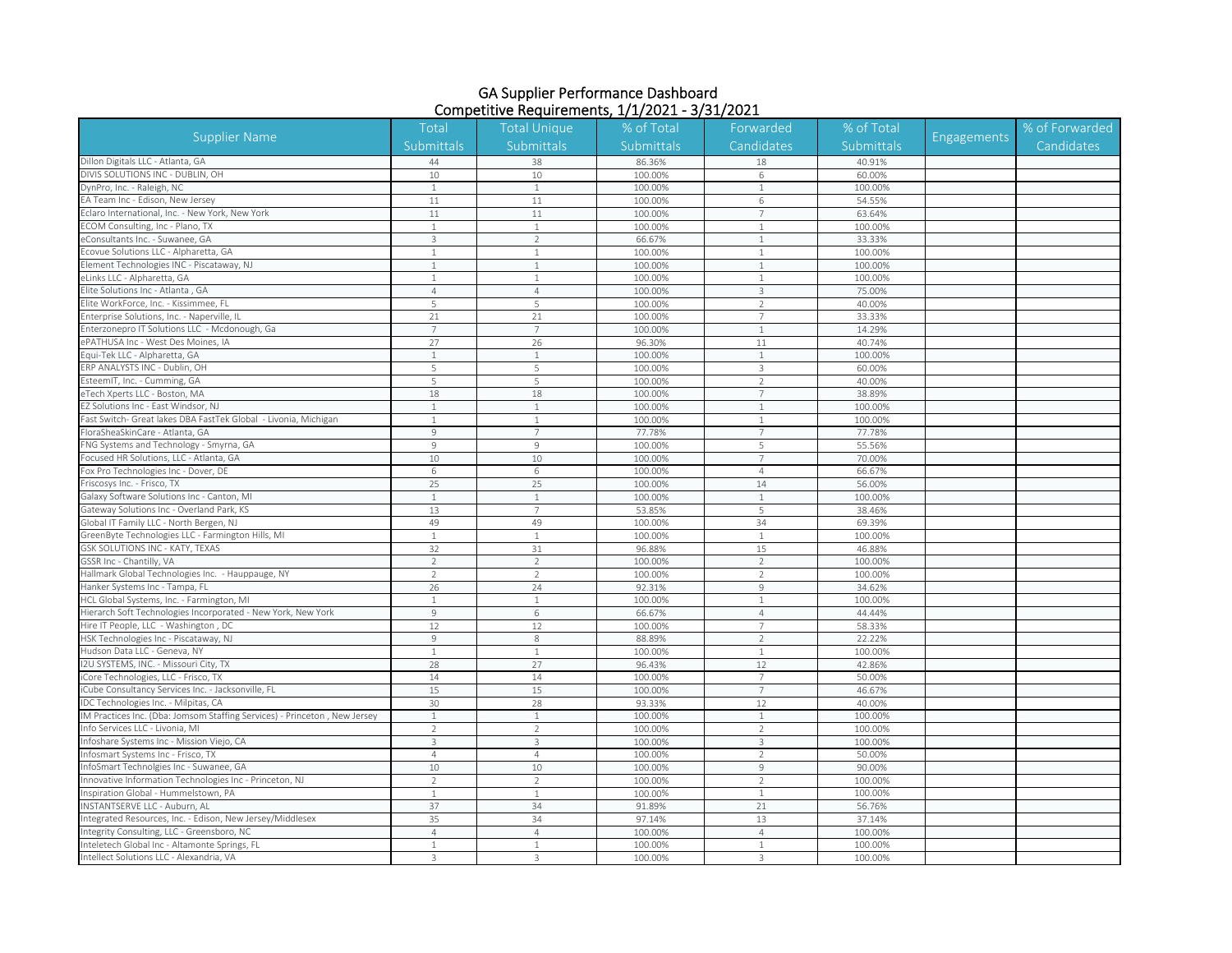| <b>Supplier Name</b>                                                                                 | <b>Total</b>             | <b>Total Unique</b> | % of Total        | Forwarded       | % of Total        | <b>Engagements</b> | % of Forwarded |
|------------------------------------------------------------------------------------------------------|--------------------------|---------------------|-------------------|-----------------|-------------------|--------------------|----------------|
|                                                                                                      | Submittals               | Submittals          | Submittals        | Candidates      | Submittals        |                    | Candidates     |
| Dillon Digitals LLC - Atlanta, GA                                                                    | 44                       | 38                  | 86.36%            | 18              | 40.91%            |                    |                |
| DIVIS SOLUTIONS INC - DUBLIN, OH                                                                     | 10                       | 10                  | 100.00%           | 6               | 60.00%            |                    |                |
| DynPro, Inc. - Raleigh, NC                                                                           | $\mathbf{1}$             | $\mathbf{1}$        | 100.00%           | $\mathbf{1}$    | 100.00%           |                    |                |
| EA Team Inc - Edison, New Jersey                                                                     | 11                       | 11                  | 100.00%           | 6               | 54.55%            |                    |                |
| Eclaro International, Inc. - New York, New York                                                      | 11                       | 11                  | 100.00%           | $7\overline{ }$ | 63.64%            |                    |                |
| COM Consulting, Inc - Plano, TX                                                                      | $\overline{1}$           | $\mathbf{1}$        | 100.00%           | 1               | 100.00%           |                    |                |
| eConsultants Inc. - Suwanee, GA                                                                      | $\overline{3}$           | $\overline{2}$      | 66.67%            | $\overline{1}$  | 33.33%            |                    |                |
| Ecovue Solutions LLC - Alpharetta, GA                                                                | 1                        | $\mathbf{1}$        | 100.00%           | $\mathbf{1}$    | 100.00%           |                    |                |
| Element Technologies INC - Piscataway, NJ                                                            | $\overline{1}$           | $\mathbf{1}$        | 100.00%           | $\mathbf{1}$    | 100.00%           |                    |                |
| eLinks LLC - Alpharetta, GA                                                                          | $\overline{1}$           | $\mathbf{1}$        | 100.00%           | $\mathbf{1}$    | 100.00%           |                    |                |
| Elite Solutions Inc - Atlanta, GA                                                                    | $\overline{4}$           | $\overline{4}$      | 100.00%           | $\overline{3}$  | 75.00%            |                    |                |
| Elite WorkForce, Inc. - Kissimmee, FL                                                                | 5                        | 5                   | 100.00%           | $\overline{2}$  | 40.00%            |                    |                |
| Enterprise Solutions, Inc. - Naperville, IL                                                          | 21                       | 21                  | 100.00%           | $\overline{7}$  | 33.33%            |                    |                |
| Interzonepro IT Solutions LLC - Mcdonough, Ga                                                        | $\overline{7}$           | $\overline{7}$      | 100.00%           | $\overline{1}$  | 14.29%            |                    |                |
| ePATHUSA Inc - West Des Moines, IA                                                                   | 27                       | 26                  | 96.30%            | 11              | 40.74%            |                    |                |
| Equi-Tek LLC - Alpharetta, GA                                                                        |                          | $\mathbf{1}$        | 100.00%           | $\mathbf{1}$    | 100.00%           |                    |                |
| ERP ANALYSTS INC - Dublin, OH                                                                        | 5                        | 5                   | 100.00%           | $\overline{3}$  | 60.00%            |                    |                |
| EsteemIT, Inc. - Cumming, GA                                                                         | 5                        | 5                   | 100.00%           | $\overline{2}$  | 40.00%            |                    |                |
| eTech Xperts LLC - Boston, MA                                                                        | 18                       | 18                  | 100.00%           | 7               | 38.89%            |                    |                |
| EZ Solutions Inc - East Windsor, NJ                                                                  |                          | 1                   | 100.00%           | 1               | 100.00%           |                    |                |
| Fast Switch- Great lakes DBA FastTek Global - Livonia, Michigan                                      |                          |                     | 100.00%           |                 | 100.00%           |                    |                |
| FloraSheaSkinCare - Atlanta, GA                                                                      | $\mathcal{G}$            | $\overline{7}$      | 77.78%            | $7\overline{ }$ | 77.78%            |                    |                |
| FNG Systems and Technology - Smyrna, GA                                                              | 9                        | $\overline{9}$      | 100.00%           | 5               | 55.56%            |                    |                |
| Focused HR Solutions, LLC - Atlanta, GA                                                              | 10                       | 10                  | 100.00%           | 7               | 70.00%            |                    |                |
| Fox Pro Technologies Inc - Dover, DE                                                                 | 6                        | 6                   | 100.00%           | $\overline{4}$  | 66.67%            |                    |                |
| Friscosys Inc. - Frisco, TX                                                                          | 25                       | 25                  | 100.00%           | 14              | 56.00%            |                    |                |
| Galaxy Software Solutions Inc - Canton, MI                                                           |                          |                     | 100.00%           | $\overline{1}$  | 100.00%           |                    |                |
| Gateway Solutions Inc - Overland Park, KS                                                            | 13                       | $\overline{7}$      | 53.85%            | 5               | 38.46%            |                    |                |
| Global IT Family LLC - North Bergen, NJ                                                              | 49                       | 49                  | 100.00%           | 34              | 69.39%            |                    |                |
| GreenByte Technologies LLC - Farmington Hills, MI                                                    |                          | $\mathbf{1}$        | 100.00%           | $\mathbf{1}$    | 100.00%           |                    |                |
| GSK SOLUTIONS INC - KATY, TEXAS                                                                      | 32                       | 31                  | 96.88%            | 15              | 46.88%            |                    |                |
| GSSR Inc - Chantilly, VA                                                                             | $\overline{2}$           | $\overline{2}$      | 100.00%           | $\overline{2}$  | 100.00%           |                    |                |
| Hallmark Global Technologies Inc. - Hauppauge, NY                                                    | $\mathcal{P}$            | $\overline{2}$      | 100.00%           | $\overline{2}$  | 100.00%           |                    |                |
| Hanker Systems Inc - Tampa, FL                                                                       | 26                       | 24                  | 92.31%            | $\overline{9}$  | 34.62%            |                    |                |
| HCL Global Systems, Inc. - Farmington, MI                                                            |                          | 1                   | 100.00%           | $\overline{1}$  |                   |                    |                |
|                                                                                                      | $\mathcal{G}$            |                     | 66.67%            | $\overline{4}$  | 100.00%           |                    |                |
| Hierarch Soft Technologies Incorporated - New York, New York<br>Hire IT People, LLC - Washington, DC | 12                       | 6<br>12             | 100.00%           | $\overline{7}$  | 44.44%<br>58.33%  |                    |                |
|                                                                                                      | 9                        |                     |                   | 2               |                   |                    |                |
| HSK Technologies Inc - Piscataway, NJ<br>Hudson Data LLC - Geneva, NY                                | $\overline{1}$           | 8<br>$\mathbf{1}$   | 88.89%<br>100.00% | $\mathbf{1}$    | 22.22%<br>100.00% |                    |                |
|                                                                                                      |                          |                     |                   |                 |                   |                    |                |
| I2U SYSTEMS, INC. - Missouri City, TX<br>Core Technologies, LLC - Frisco, TX                         | 28<br>14                 | 27<br>14            | 96.43%<br>100.00% | 12<br>7         | 42.86%<br>50.00%  |                    |                |
|                                                                                                      | 15                       |                     |                   | $\overline{7}$  |                   |                    |                |
| iCube Consultancy Services Inc. - Jacksonville, FL                                                   |                          | 15                  | 100.00%           |                 | 46.67%            |                    |                |
| IDC Technologies Inc. - Milpitas, CA                                                                 | 30                       | 28                  | 93.33%            | 12              | 40.00%            |                    |                |
| IM Practices Inc. (Dba: Jomsom Staffing Services) - Princeton, New Jersey                            | $\overline{1}$           | $\mathbf{1}$        | 100.00%           | $\mathbf{1}$    | 100.00%           |                    |                |
| Info Services LLC - Livonia, MI                                                                      | 2                        | $\overline{2}$      | 100.00%           | 2               | 100.00%           |                    |                |
| Infoshare Systems Inc - Mission Viejo, CA                                                            | 3                        | 3                   | 100.00%           | 3               | 100.00%           |                    |                |
| Infosmart Systems Inc - Frisco, TX                                                                   | $\overline{4}$           | $\overline{4}$      | 100.00%           | $\overline{2}$  | 50.00%            |                    |                |
| InfoSmart Technolgies Inc - Suwanee, GA                                                              | 10                       | 10                  | 100.00%           | $\overline{9}$  | 90.00%            |                    |                |
| Innovative Information Technologies Inc - Princeton, NJ                                              | $\overline{\phantom{a}}$ | $\overline{2}$      | 100.00%           | $\overline{2}$  | 100.00%           |                    |                |
| Inspiration Global - Hummelstown, PA                                                                 | $\mathbf{1}$             | $\mathbf{1}$        | 100.00%           | $\mathbf{1}$    | 100.00%           |                    |                |
| INSTANTSERVE LLC - Auburn, AL                                                                        | 37                       | 34                  | 91.89%            | 21              | 56.76%            |                    |                |
| Integrated Resources, Inc. - Edison, New Jersey/Middlesex                                            | 35                       | 34                  | 97.14%            | 13              | 37.14%            |                    |                |
| ntegrity Consulting, LLC - Greensboro, NC                                                            | $\overline{4}$           | $\overline{4}$      | 100.00%           | $\overline{4}$  | 100.00%           |                    |                |
| Inteletech Global Inc - Altamonte Springs, FL                                                        | $\mathbf{1}$             | $\mathbf{1}$        | 100.00%           | $\mathbf{1}$    | 100.00%           |                    |                |
| Intellect Solutions LLC - Alexandria, VA                                                             | 3                        | 3                   | 100.00%           | 3               | 100.00%           |                    |                |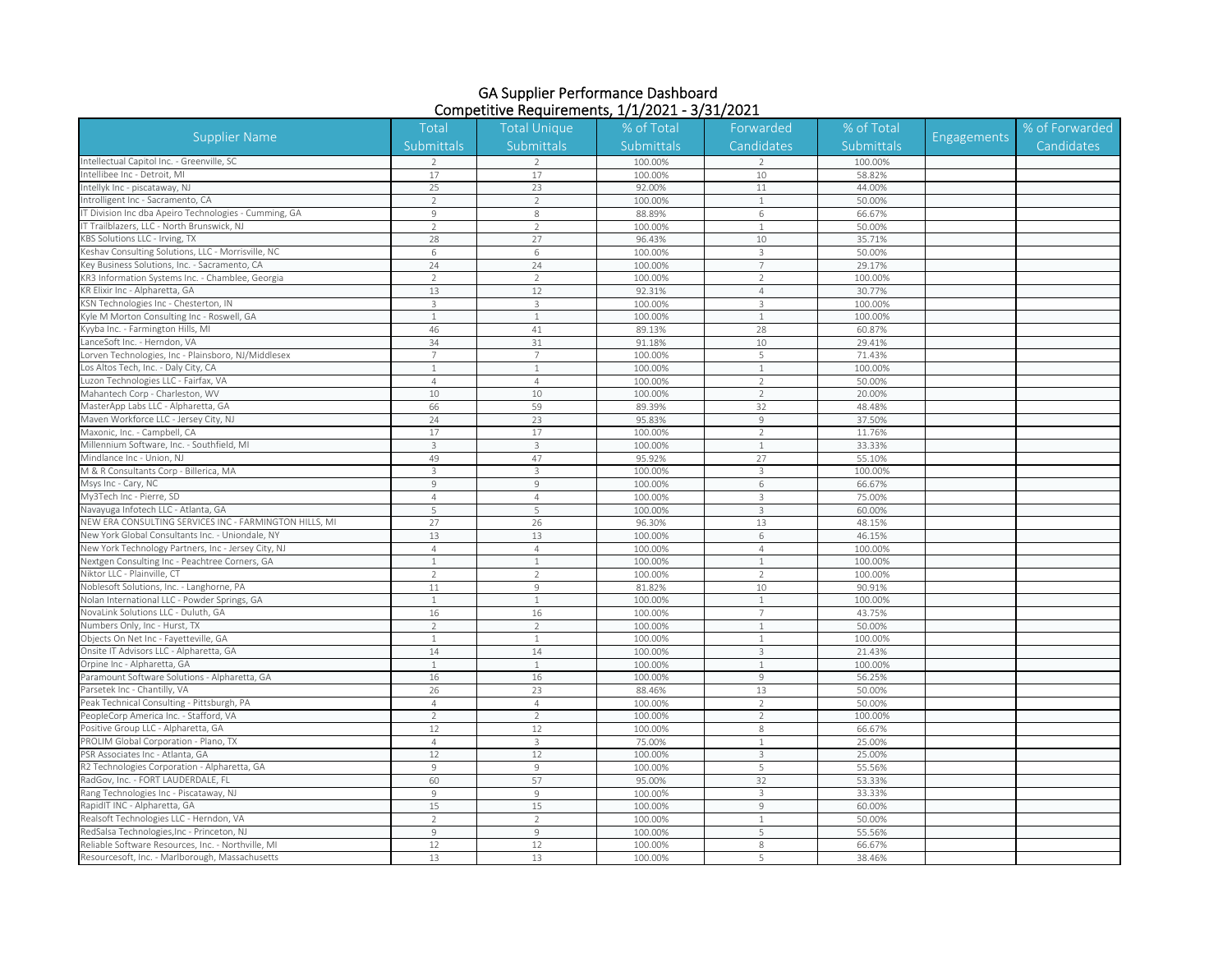| <b>Supplier Name</b>                                   | <b>Total</b>   | <b>Total Unique</b><br>Submittals | % of Total<br>Submittals | Forwarded<br>Candidates | % of Total<br>Submittals | <b>Engagements</b> | % of Forwarded |
|--------------------------------------------------------|----------------|-----------------------------------|--------------------------|-------------------------|--------------------------|--------------------|----------------|
|                                                        | Submittals     |                                   |                          |                         |                          |                    | Candidates     |
| Intellectual Capitol Inc. - Greenville, SC             | $\mathcal{D}$  | $\mathcal{D}$                     | 100.00%                  | $\mathcal{L}$           | 100.00%                  |                    |                |
| Intellibee Inc - Detroit, MI                           | 17             | 17                                | 100.00%                  | 10                      | 58.82%                   |                    |                |
| Intellyk Inc - piscataway, NJ                          | 25             | 23                                | 92.00%                   | 11                      | 44.00%                   |                    |                |
| Introlligent Inc - Sacramento, CA                      | $\overline{2}$ | $\overline{2}$                    | 100.00%                  | $\mathbf{1}$            | 50.00%                   |                    |                |
| IT Division Inc dba Apeiro Technologies - Cumming, GA  | $\overline{9}$ | 8                                 | 88.89%                   | 6                       | 66.67%                   |                    |                |
| IT Trailblazers, LLC - North Brunswick, NJ             | $\overline{2}$ | $\overline{2}$                    | 100.00%                  | $\mathbf{1}$            | 50.00%                   |                    |                |
| KBS Solutions LLC - Irving, TX                         | 28             | 27                                | 96.43%                   | 10                      | 35.71%                   |                    |                |
| Keshav Consulting Solutions, LLC - Morrisville, NC     | 6              | 6                                 | 100.00%                  | $\mathbf{3}$            | 50.00%                   |                    |                |
| Key Business Solutions, Inc. - Sacramento, CA          | 24             | 24                                | 100.00%                  | $\overline{7}$          | 29.17%                   |                    |                |
| KR3 Information Systems Inc. - Chamblee, Georgia       | $\mathcal{P}$  | $\overline{2}$                    | 100.00%                  | 2                       | 100.00%                  |                    |                |
| KR Elixir Inc - Alpharetta, GA                         | 13             | 12                                | 92.31%                   | $\overline{4}$          | 30.77%                   |                    |                |
| KSN Technologies Inc - Chesterton, IN                  | $\mathbf{3}$   | 3                                 | 100.00%                  | $\mathbf{3}$            | 100.00%                  |                    |                |
| Kyle M Morton Consulting Inc - Roswell, GA             |                |                                   | 100.00%                  | $\overline{1}$          | 100.00%                  |                    |                |
| Kyyba Inc. - Farmington Hills, MI                      | 46             | 41                                | 89.13%                   | 28                      | 60.87%                   |                    |                |
| LanceSoft Inc. - Herndon, VA                           | 34             | 31                                | 91.18%                   | 10                      | 29.41%                   |                    |                |
| Lorven Technologies, Inc - Plainsboro, NJ/Middlesex    |                | $\overline{7}$                    | 100.00%                  | 5                       | 71.43%                   |                    |                |
| Los Altos Tech, Inc. - Daly City, CA                   | $\overline{1}$ | $\mathbf{1}$                      | 100.00%                  | $\mathbf{1}$            | 100.00%                  |                    |                |
| uzon Technologies LLC - Fairfax, VA                    | $\overline{4}$ | $\overline{4}$                    | 100.00%                  | $\overline{2}$          | 50.00%                   |                    |                |
| Mahantech Corp - Charleston, WV                        | 10             | 10                                | 100.00%                  | $\overline{2}$          | 20.00%                   |                    |                |
| MasterApp Labs LLC - Alpharetta, GA                    | 66             | 59                                | 89.39%                   | 32                      | 48.48%                   |                    |                |
| Maven Workforce LLC - Jersey City, NJ                  | 24             | 23                                | 95.83%                   | $\mathcal{G}$           | 37.50%                   |                    |                |
| Maxonic, Inc. - Campbell, CA                           | 17             | 17                                | 100.00%                  | $\overline{2}$          | 11.76%                   |                    |                |
| Millennium Software, Inc. - Southfield, MI             | $\overline{3}$ | 3                                 | 100.00%                  | $\mathbf{1}$            | 33.33%                   |                    |                |
| Mindlance Inc - Union, NJ                              | 49             | 47                                | 95.92%                   | 27                      | 55.10%                   |                    |                |
| M & R Consultants Corp - Billerica, MA                 | $\overline{3}$ | $\overline{3}$                    | 100.00%                  | $\mathbf{3}$            | 100.00%                  |                    |                |
| Msys Inc - Cary, NC                                    | $\overline{9}$ | 9                                 | 100.00%                  | 6                       | 66.67%                   |                    |                |
| My3Tech Inc - Pierre, SD                               | $\overline{4}$ | $\overline{4}$                    | 100.00%                  | $_{3}$                  | 75.00%                   |                    |                |
| Navayuga Infotech LLC - Atlanta, GA                    | 5              | 5                                 | 100.00%                  | $_{3}$                  | 60.00%                   |                    |                |
| NEW ERA CONSULTING SERVICES INC - FARMINGTON HILLS, MI | 27             | 26                                | 96.30%                   | 13                      | 48.15%                   |                    |                |
| New York Global Consultants Inc. - Uniondale, NY       | 13             | 13                                | 100.00%                  | 6                       | 46.15%                   |                    |                |
| New York Technology Partners, Inc - Jersey City, NJ    | $\overline{4}$ | $\overline{4}$                    | 100.00%                  | $\overline{4}$          | 100.00%                  |                    |                |
| Nextgen Consulting Inc - Peachtree Corners, GA         | $\overline{1}$ | $\mathbf{1}$                      | 100.00%                  | $\mathbf{1}$            | 100.00%                  |                    |                |
| Niktor LLC - Plainville, CT                            | $\mathcal{P}$  | $\overline{2}$                    | 100.00%                  | $\overline{2}$          | 100.00%                  |                    |                |
| Noblesoft Solutions, Inc. - Langhorne, PA              | 11             | 9                                 | 81.82%                   | 10                      | 90.91%                   |                    |                |
| Nolan International LLC - Powder Springs, GA           |                | 1                                 | 100.00%                  | $\overline{1}$          | 100.00%                  |                    |                |
| NovaLink Solutions LLC - Duluth, GA                    | 16             | 16                                | 100.00%                  | $\overline{7}$          | 43.75%                   |                    |                |
| Numbers Only, Inc - Hurst, TX                          | $\overline{2}$ | $\overline{2}$                    | 100.00%                  | $\mathbf{1}$            | 50.00%                   |                    |                |
| Objects On Net Inc - Fayetteville, GA                  | $\mathbf{1}$   | $\mathbf{1}$                      | 100.00%                  | 1                       | 100.00%                  |                    |                |
| Onsite IT Advisors LLC - Alpharetta, GA                | 14             | 14                                | 100.00%                  | 3                       | 21.43%                   |                    |                |
| Orpine Inc - Alpharetta, GA                            | $\overline{1}$ | $\mathbf{1}$                      | 100.00%                  | $\mathbf{1}$            | 100.00%                  |                    |                |
| Paramount Software Solutions - Alpharetta, GA          | 16             | 16                                | 100.00%                  | $\mathcal{G}$           | 56.25%                   |                    |                |
| Parsetek Inc - Chantilly, VA                           | 26             | 23                                | 88.46%                   | 13                      | 50.00%                   |                    |                |
| Peak Technical Consulting - Pittsburgh, PA             | $\overline{4}$ | $\overline{4}$                    | 100.00%                  | $\overline{2}$          | 50.00%                   |                    |                |
| PeopleCorp America Inc. - Stafford, VA                 | $\mathcal{P}$  | $\mathfrak{D}$                    | 100.00%                  | $\overline{2}$          | 100.00%                  |                    |                |
| Positive Group LLC - Alpharetta, GA                    | 12             | 12                                | 100.00%                  | 8                       | 66.67%                   |                    |                |
| PROLIM Global Corporation - Plano, TX                  | $\overline{4}$ | 3                                 | 75.00%                   | $\mathbf{1}$            | 25.00%                   |                    |                |
| PSR Associates Inc - Atlanta, GA                       | 12             | 12                                | 100.00%                  | $\mathbf{3}$            | 25.00%                   |                    |                |
| R2 Technologies Corporation - Alpharetta, GA           | 9              | 9                                 | 100.00%                  | 5                       | 55.56%                   |                    |                |
| RadGov, Inc. - FORT LAUDERDALE, FL                     | 60             | 57                                | 95.00%                   | 32                      | 53.33%                   |                    |                |
| Rang Technologies Inc - Piscataway, NJ                 | $\mathsf{9}$   | 9                                 | 100.00%                  | $\mathbf{3}$            | 33.33%                   |                    |                |
| RapidIT INC - Alpharetta, GA                           | 15             | 15                                | 100.00%                  | $\overline{9}$          | 60.00%                   |                    |                |
| Realsoft Technologies LLC - Herndon, VA                | $\mathcal{D}$  | $\overline{2}$                    | 100.00%                  | $\mathbf{1}$            | 50.00%                   |                    |                |
| RedSalsa Technologies, Inc - Princeton, NJ             | $\overline{9}$ | 9                                 | 100.00%                  | 5                       | 55.56%                   |                    |                |
| Reliable Software Resources, Inc. - Northville, MI     | 12             | 12                                | 100.00%                  | 8                       | 66.67%                   |                    |                |
| Resourcesoft, Inc. - Marlborough, Massachusetts        | 13             | 13                                | 100.00%                  | 5                       | 38.46%                   |                    |                |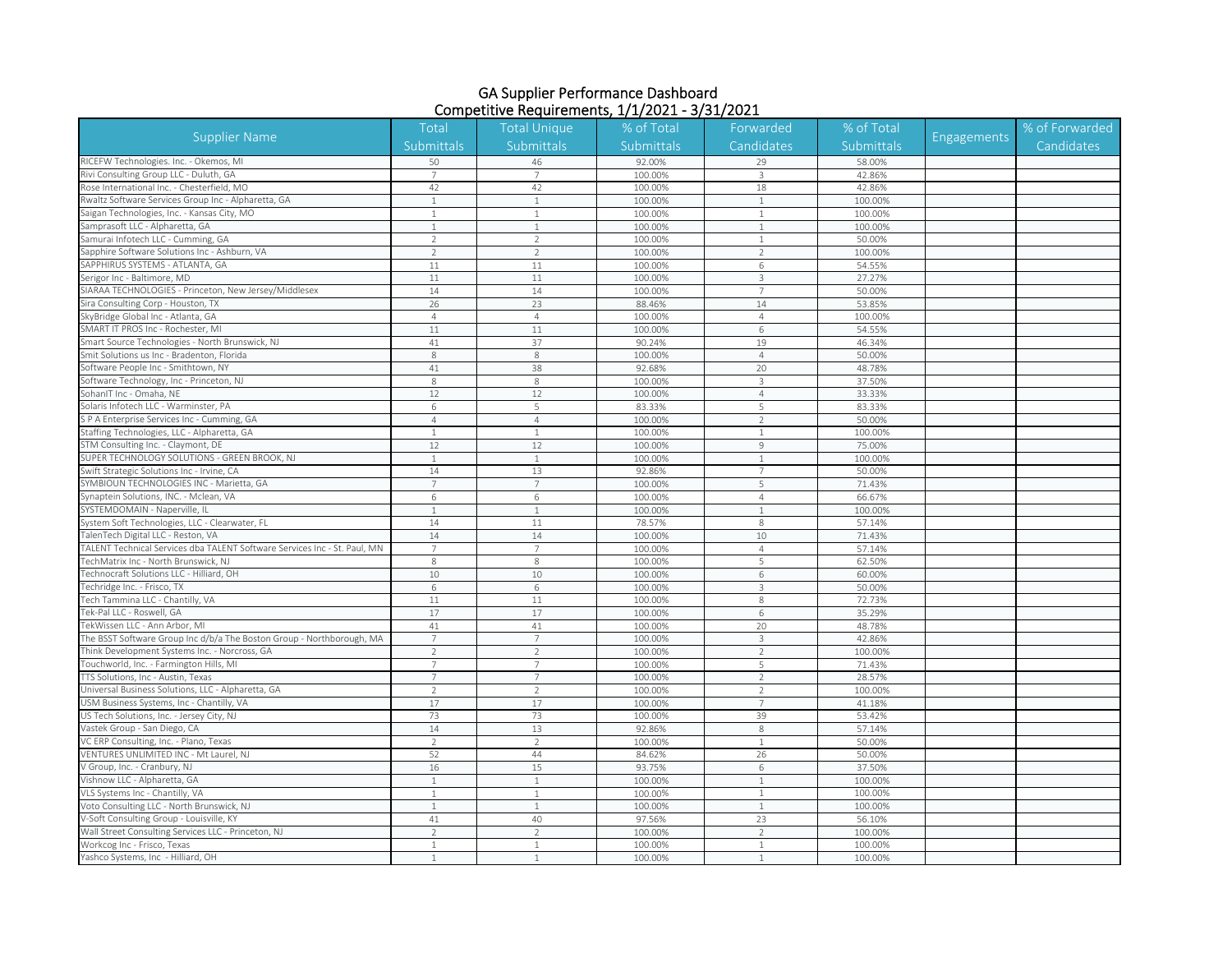| Submittals<br>Submittals<br>Submittals<br>Candidates<br>Submittals<br>Candidates<br>RICEFW Technologies. Inc. - Okemos, MI<br>50<br>92.00%<br>58.00%<br>46<br>29<br>Rivi Consulting Group LLC - Duluth, GA<br>100.00%<br>42.86%<br>3<br>Rose International Inc. - Chesterfield, MO<br>42<br>42<br>100.00%<br>18<br>42.86%<br>Rwaltz Software Services Group Inc - Alpharetta, GA<br>$\mathbf{1}$<br>100.00%<br>$\mathbf{1}$<br>100.00%<br>$\mathbf{1}$<br>Saigan Technologies, Inc. - Kansas City, MO<br>100.00%<br>$\mathbf{1}$<br>100.00%<br>$\overline{1}$<br>$\mathbf{1}$<br>amprasoft LLC - Alpharetta, GA<br>100.00%<br>100.00%<br>$\mathbf{1}$<br>$\mathbf{1}$<br>1<br>Samurai Infotech LLC - Cumming, GA<br>$\overline{\phantom{a}}$<br>$\overline{2}$<br>100.00%<br>$\mathbf{1}$<br>50.00%<br>Sapphire Software Solutions Inc - Ashburn, VA<br>$\overline{2}$<br>100.00%<br>$\overline{2}$<br>$\overline{2}$<br>100.00%<br>54.55%<br>SAPPHIRUS SYSTEMS - ATLANTA, GA<br>11<br>11<br>100.00%<br>6<br>Serigor Inc - Baltimore, MD<br>100.00%<br>11<br>$11\,$<br>3<br>27.27%<br>SIARAA TECHNOLOGIES - Princeton, New Jersey/Middlesex<br>14<br>14<br>100.00%<br>$7\overline{ }$<br>50.00%<br>Sira Consulting Corp - Houston, TX<br>26<br>23<br>88.46%<br>14<br>53.85%<br>kyBridge Global Inc - Atlanta, GA<br>$\overline{4}$<br>100.00%<br>$\overline{4}$<br>100.00%<br>$\overline{4}$<br>SMART IT PROS Inc - Rochester, MI<br>11<br>$11\,$<br>6<br>54.55%<br>100.00%<br>mart Source Technologies - North Brunswick, NJ<br>41<br>37<br>90.24%<br>19<br>46.34%<br>mit Solutions us Inc - Bradenton, Florida<br>8<br>100.00%<br>$\overline{4}$<br>50.00%<br>8<br>Software People Inc - Smithtown, NY<br>41<br>38<br>92.68%<br>20<br>48.78%<br>oftware Technology, Inc - Princeton, NJ<br>8<br>8<br>100.00%<br>3<br>37.50%<br>SohanIT Inc - Omaha, NE<br>12<br>12<br>100.00%<br>$\overline{4}$<br>33.33%<br>Solaris Infotech LLC - Warminster, PA<br>83.33%<br>83.33%<br>5<br>5<br>6<br>S P A Enterprise Services Inc - Cumming, GA<br>100.00%<br>50.00%<br>$\overline{4}$<br>$\overline{4}$<br>$\overline{2}$<br>Staffing Technologies, LLC - Alpharetta, GA<br>100.00%<br>100.00%<br>$\mathbf{1}$<br>$\mathbf{1}$<br>$\mathbf{1}$<br>STM Consulting Inc. - Claymont, DE<br>12<br>100.00%<br>75.00%<br>12<br>$\overline{9}$<br>SUPER TECHNOLOGY SOLUTIONS - GREEN BROOK, NJ<br>100.00%<br>$\mathbf{1}$<br>100.00%<br>$\overline{1}$<br>$\mathbf{1}$<br>Swift Strategic Solutions Inc - Irvine, CA<br>14<br>13<br>92.86%<br>50.00%<br>$7\overline{ }$<br>SYMBIOUN TECHNOLOGIES INC - Marietta, GA<br>$\overline{7}$<br>5<br>$\overline{7}$<br>100.00%<br>71.43%<br>ynaptein Solutions, INC. - Mclean, VA<br>100.00%<br>66.67%<br>6<br>$\overline{4}$<br>6<br>SYSTEMDOMAIN - Naperville, II<br>$\overline{1}$<br>$\mathbf{1}$<br>100.00%<br>$\mathbf{1}$<br>100.00%<br>System Soft Technologies, LLC - Clearwater, FL<br>14<br>11<br>78.57%<br>$\,8\,$<br>57.14%<br>alenTech Digital LLC - Reston, VA<br>14<br>10<br>14<br>100.00%<br>71.43%<br>TALENT Technical Services dba TALENT Software Services Inc - St. Paul, MN<br>57.14%<br>7<br>$\overline{7}$<br>100.00%<br>$\overline{4}$<br>echMatrix Inc - North Brunswick, NJ<br>8<br>100.00%<br>5<br>62.50%<br>8<br>echnocraft Solutions LLC - Hilliard, OH<br>$10\,$<br>10<br>100.00%<br>6<br>60.00%<br>echridge Inc. - Frisco, TX<br>100.00%<br>50.00%<br>6<br>6<br>3<br>Tech Tammina LLC - Chantilly, VA<br>11<br>11<br>100.00%<br>8<br>72.73%<br>Tek-Pal LLC - Roswell, GA<br>17<br>17<br>100.00%<br>6<br>35.29%<br>ekWissen LLC - Ann Arbor, MI<br>48.78%<br>41<br>41<br>100.00%<br>20<br>The BSST Software Group Inc d/b/a The Boston Group - Northborough, MA<br>7<br>$\overline{7}$<br>100.00%<br>$\overline{3}$<br>42.86%<br>Think Development Systems Inc. - Norcross, GA<br>100.00%<br>100.00%<br>$\overline{\phantom{a}}$<br>$\overline{2}$<br>$\overline{2}$<br>ouchworld, Inc. - Farmington Hills, MI<br>$\overline{7}$<br>100.00%<br>5<br>71.43%<br>$\overline{7}$<br><b>TTS Solutions, Inc - Austin, Texas</b><br>100.00%<br>28.57%<br>7<br>7<br>2<br>Universal Business Solutions, LLC - Alpharetta, GA<br>$\overline{2}$<br>$\overline{\phantom{a}}$<br>100.00%<br>$\overline{2}$<br>100.00%<br>USM Business Systems, Inc - Chantilly, VA<br>17<br>17<br>$7\overline{ }$<br>100.00%<br>41.18%<br>US Tech Solutions, Inc. - Jersey City, NJ<br>73<br>100.00%<br>39<br>53.42%<br>73<br>14<br>13<br>57.14%<br>Vastek Group - San Diego, CA<br>92.86%<br>$\,8\,$<br>VC ERP Consulting, Inc. - Plano, Texas<br>100.00%<br>50.00%<br>$\overline{2}$<br>$\overline{2}$<br>$\mathbf{1}$<br>VENTURES UNLIMITED INC - Mt Laurel, NJ<br>44<br>52<br>84.62%<br>26<br>50.00%<br>V Group, Inc. - Cranbury, NJ<br>15<br>93.75%<br>16<br>6<br>37.50%<br>Vishnow LLC - Alpharetta, GA<br>$\mathbf{1}$<br>100.00%<br>$\mathbf{1}$<br>100.00%<br>$\mathbf{1}$<br>VLS Systems Inc - Chantilly, VA<br>100.00%<br>$\mathbf{1}$<br>$\mathbf{1}$<br>100.00%<br>1<br>Voto Consulting LLC - North Brunswick, NJ<br>100.00%<br>100.00%<br>1<br>$\mathbf{1}$<br>$\overline{1}$<br>V-Soft Consulting Group - Louisville, KY<br>41<br>40<br>97.56%<br>23<br>56.10%<br>Wall Street Consulting Services LLC - Princeton, NJ<br>$\overline{2}$<br>100.00%<br>$\overline{2}$<br>100.00%<br>$\mathfrak{D}$<br>Workcog Inc - Frisco, Texas<br>$\mathbf{1}$<br>100.00%<br>100.00%<br>$\overline{1}$<br>$\mathbf{1}$<br>Yashco Systems, Inc - Hilliard, OH<br>100.00%<br>100.00%<br>$\mathbf{1}$<br>$\mathbf{1}$<br>1 | <b>Supplier Name</b> | Total | <b>Total Unique</b> | % of Total | Forwarded | % of Total | <b>Engagements</b> | % of Forwarded |
|-------------------------------------------------------------------------------------------------------------------------------------------------------------------------------------------------------------------------------------------------------------------------------------------------------------------------------------------------------------------------------------------------------------------------------------------------------------------------------------------------------------------------------------------------------------------------------------------------------------------------------------------------------------------------------------------------------------------------------------------------------------------------------------------------------------------------------------------------------------------------------------------------------------------------------------------------------------------------------------------------------------------------------------------------------------------------------------------------------------------------------------------------------------------------------------------------------------------------------------------------------------------------------------------------------------------------------------------------------------------------------------------------------------------------------------------------------------------------------------------------------------------------------------------------------------------------------------------------------------------------------------------------------------------------------------------------------------------------------------------------------------------------------------------------------------------------------------------------------------------------------------------------------------------------------------------------------------------------------------------------------------------------------------------------------------------------------------------------------------------------------------------------------------------------------------------------------------------------------------------------------------------------------------------------------------------------------------------------------------------------------------------------------------------------------------------------------------------------------------------------------------------------------------------------------------------------------------------------------------------------------------------------------------------------------------------------------------------------------------------------------------------------------------------------------------------------------------------------------------------------------------------------------------------------------------------------------------------------------------------------------------------------------------------------------------------------------------------------------------------------------------------------------------------------------------------------------------------------------------------------------------------------------------------------------------------------------------------------------------------------------------------------------------------------------------------------------------------------------------------------------------------------------------------------------------------------------------------------------------------------------------------------------------------------------------------------------------------------------------------------------------------------------------------------------------------------------------------------------------------------------------------------------------------------------------------------------------------------------------------------------------------------------------------------------------------------------------------------------------------------------------------------------------------------------------------------------------------------------------------------------------------------------------------------------------------------------------------------------------------------------------------------------------------------------------------------------------------------------------------------------------------------------------------------------------------------------------------------------------------------------------------------------------------------------------------------------------------------------------------------------------------------------------------------------------------------------------------------------------------------------------------------------------------------------------------------------------------------------------------------------------------------------------------------------------------------------------------------------------------------------------------------------------------------------------------------------------------------------------------------------------------------------------------------------------------------------------------------------------------------------------------------------------------------------------------------------------------------------------------------------------------------------------------------------|----------------------|-------|---------------------|------------|-----------|------------|--------------------|----------------|
|                                                                                                                                                                                                                                                                                                                                                                                                                                                                                                                                                                                                                                                                                                                                                                                                                                                                                                                                                                                                                                                                                                                                                                                                                                                                                                                                                                                                                                                                                                                                                                                                                                                                                                                                                                                                                                                                                                                                                                                                                                                                                                                                                                                                                                                                                                                                                                                                                                                                                                                                                                                                                                                                                                                                                                                                                                                                                                                                                                                                                                                                                                                                                                                                                                                                                                                                                                                                                                                                                                                                                                                                                                                                                                                                                                                                                                                                                                                                                                                                                                                                                                                                                                                                                                                                                                                                                                                                                                                                                                                                                                                                                                                                                                                                                                                                                                                                                                                                                                                                                                                                                                                                                                                                                                                                                                                                                                                                                                                                                                                                                       |                      |       |                     |            |           |            |                    |                |
|                                                                                                                                                                                                                                                                                                                                                                                                                                                                                                                                                                                                                                                                                                                                                                                                                                                                                                                                                                                                                                                                                                                                                                                                                                                                                                                                                                                                                                                                                                                                                                                                                                                                                                                                                                                                                                                                                                                                                                                                                                                                                                                                                                                                                                                                                                                                                                                                                                                                                                                                                                                                                                                                                                                                                                                                                                                                                                                                                                                                                                                                                                                                                                                                                                                                                                                                                                                                                                                                                                                                                                                                                                                                                                                                                                                                                                                                                                                                                                                                                                                                                                                                                                                                                                                                                                                                                                                                                                                                                                                                                                                                                                                                                                                                                                                                                                                                                                                                                                                                                                                                                                                                                                                                                                                                                                                                                                                                                                                                                                                                                       |                      |       |                     |            |           |            |                    |                |
|                                                                                                                                                                                                                                                                                                                                                                                                                                                                                                                                                                                                                                                                                                                                                                                                                                                                                                                                                                                                                                                                                                                                                                                                                                                                                                                                                                                                                                                                                                                                                                                                                                                                                                                                                                                                                                                                                                                                                                                                                                                                                                                                                                                                                                                                                                                                                                                                                                                                                                                                                                                                                                                                                                                                                                                                                                                                                                                                                                                                                                                                                                                                                                                                                                                                                                                                                                                                                                                                                                                                                                                                                                                                                                                                                                                                                                                                                                                                                                                                                                                                                                                                                                                                                                                                                                                                                                                                                                                                                                                                                                                                                                                                                                                                                                                                                                                                                                                                                                                                                                                                                                                                                                                                                                                                                                                                                                                                                                                                                                                                                       |                      |       |                     |            |           |            |                    |                |
|                                                                                                                                                                                                                                                                                                                                                                                                                                                                                                                                                                                                                                                                                                                                                                                                                                                                                                                                                                                                                                                                                                                                                                                                                                                                                                                                                                                                                                                                                                                                                                                                                                                                                                                                                                                                                                                                                                                                                                                                                                                                                                                                                                                                                                                                                                                                                                                                                                                                                                                                                                                                                                                                                                                                                                                                                                                                                                                                                                                                                                                                                                                                                                                                                                                                                                                                                                                                                                                                                                                                                                                                                                                                                                                                                                                                                                                                                                                                                                                                                                                                                                                                                                                                                                                                                                                                                                                                                                                                                                                                                                                                                                                                                                                                                                                                                                                                                                                                                                                                                                                                                                                                                                                                                                                                                                                                                                                                                                                                                                                                                       |                      |       |                     |            |           |            |                    |                |
|                                                                                                                                                                                                                                                                                                                                                                                                                                                                                                                                                                                                                                                                                                                                                                                                                                                                                                                                                                                                                                                                                                                                                                                                                                                                                                                                                                                                                                                                                                                                                                                                                                                                                                                                                                                                                                                                                                                                                                                                                                                                                                                                                                                                                                                                                                                                                                                                                                                                                                                                                                                                                                                                                                                                                                                                                                                                                                                                                                                                                                                                                                                                                                                                                                                                                                                                                                                                                                                                                                                                                                                                                                                                                                                                                                                                                                                                                                                                                                                                                                                                                                                                                                                                                                                                                                                                                                                                                                                                                                                                                                                                                                                                                                                                                                                                                                                                                                                                                                                                                                                                                                                                                                                                                                                                                                                                                                                                                                                                                                                                                       |                      |       |                     |            |           |            |                    |                |
|                                                                                                                                                                                                                                                                                                                                                                                                                                                                                                                                                                                                                                                                                                                                                                                                                                                                                                                                                                                                                                                                                                                                                                                                                                                                                                                                                                                                                                                                                                                                                                                                                                                                                                                                                                                                                                                                                                                                                                                                                                                                                                                                                                                                                                                                                                                                                                                                                                                                                                                                                                                                                                                                                                                                                                                                                                                                                                                                                                                                                                                                                                                                                                                                                                                                                                                                                                                                                                                                                                                                                                                                                                                                                                                                                                                                                                                                                                                                                                                                                                                                                                                                                                                                                                                                                                                                                                                                                                                                                                                                                                                                                                                                                                                                                                                                                                                                                                                                                                                                                                                                                                                                                                                                                                                                                                                                                                                                                                                                                                                                                       |                      |       |                     |            |           |            |                    |                |
|                                                                                                                                                                                                                                                                                                                                                                                                                                                                                                                                                                                                                                                                                                                                                                                                                                                                                                                                                                                                                                                                                                                                                                                                                                                                                                                                                                                                                                                                                                                                                                                                                                                                                                                                                                                                                                                                                                                                                                                                                                                                                                                                                                                                                                                                                                                                                                                                                                                                                                                                                                                                                                                                                                                                                                                                                                                                                                                                                                                                                                                                                                                                                                                                                                                                                                                                                                                                                                                                                                                                                                                                                                                                                                                                                                                                                                                                                                                                                                                                                                                                                                                                                                                                                                                                                                                                                                                                                                                                                                                                                                                                                                                                                                                                                                                                                                                                                                                                                                                                                                                                                                                                                                                                                                                                                                                                                                                                                                                                                                                                                       |                      |       |                     |            |           |            |                    |                |
|                                                                                                                                                                                                                                                                                                                                                                                                                                                                                                                                                                                                                                                                                                                                                                                                                                                                                                                                                                                                                                                                                                                                                                                                                                                                                                                                                                                                                                                                                                                                                                                                                                                                                                                                                                                                                                                                                                                                                                                                                                                                                                                                                                                                                                                                                                                                                                                                                                                                                                                                                                                                                                                                                                                                                                                                                                                                                                                                                                                                                                                                                                                                                                                                                                                                                                                                                                                                                                                                                                                                                                                                                                                                                                                                                                                                                                                                                                                                                                                                                                                                                                                                                                                                                                                                                                                                                                                                                                                                                                                                                                                                                                                                                                                                                                                                                                                                                                                                                                                                                                                                                                                                                                                                                                                                                                                                                                                                                                                                                                                                                       |                      |       |                     |            |           |            |                    |                |
|                                                                                                                                                                                                                                                                                                                                                                                                                                                                                                                                                                                                                                                                                                                                                                                                                                                                                                                                                                                                                                                                                                                                                                                                                                                                                                                                                                                                                                                                                                                                                                                                                                                                                                                                                                                                                                                                                                                                                                                                                                                                                                                                                                                                                                                                                                                                                                                                                                                                                                                                                                                                                                                                                                                                                                                                                                                                                                                                                                                                                                                                                                                                                                                                                                                                                                                                                                                                                                                                                                                                                                                                                                                                                                                                                                                                                                                                                                                                                                                                                                                                                                                                                                                                                                                                                                                                                                                                                                                                                                                                                                                                                                                                                                                                                                                                                                                                                                                                                                                                                                                                                                                                                                                                                                                                                                                                                                                                                                                                                                                                                       |                      |       |                     |            |           |            |                    |                |
|                                                                                                                                                                                                                                                                                                                                                                                                                                                                                                                                                                                                                                                                                                                                                                                                                                                                                                                                                                                                                                                                                                                                                                                                                                                                                                                                                                                                                                                                                                                                                                                                                                                                                                                                                                                                                                                                                                                                                                                                                                                                                                                                                                                                                                                                                                                                                                                                                                                                                                                                                                                                                                                                                                                                                                                                                                                                                                                                                                                                                                                                                                                                                                                                                                                                                                                                                                                                                                                                                                                                                                                                                                                                                                                                                                                                                                                                                                                                                                                                                                                                                                                                                                                                                                                                                                                                                                                                                                                                                                                                                                                                                                                                                                                                                                                                                                                                                                                                                                                                                                                                                                                                                                                                                                                                                                                                                                                                                                                                                                                                                       |                      |       |                     |            |           |            |                    |                |
|                                                                                                                                                                                                                                                                                                                                                                                                                                                                                                                                                                                                                                                                                                                                                                                                                                                                                                                                                                                                                                                                                                                                                                                                                                                                                                                                                                                                                                                                                                                                                                                                                                                                                                                                                                                                                                                                                                                                                                                                                                                                                                                                                                                                                                                                                                                                                                                                                                                                                                                                                                                                                                                                                                                                                                                                                                                                                                                                                                                                                                                                                                                                                                                                                                                                                                                                                                                                                                                                                                                                                                                                                                                                                                                                                                                                                                                                                                                                                                                                                                                                                                                                                                                                                                                                                                                                                                                                                                                                                                                                                                                                                                                                                                                                                                                                                                                                                                                                                                                                                                                                                                                                                                                                                                                                                                                                                                                                                                                                                                                                                       |                      |       |                     |            |           |            |                    |                |
|                                                                                                                                                                                                                                                                                                                                                                                                                                                                                                                                                                                                                                                                                                                                                                                                                                                                                                                                                                                                                                                                                                                                                                                                                                                                                                                                                                                                                                                                                                                                                                                                                                                                                                                                                                                                                                                                                                                                                                                                                                                                                                                                                                                                                                                                                                                                                                                                                                                                                                                                                                                                                                                                                                                                                                                                                                                                                                                                                                                                                                                                                                                                                                                                                                                                                                                                                                                                                                                                                                                                                                                                                                                                                                                                                                                                                                                                                                                                                                                                                                                                                                                                                                                                                                                                                                                                                                                                                                                                                                                                                                                                                                                                                                                                                                                                                                                                                                                                                                                                                                                                                                                                                                                                                                                                                                                                                                                                                                                                                                                                                       |                      |       |                     |            |           |            |                    |                |
|                                                                                                                                                                                                                                                                                                                                                                                                                                                                                                                                                                                                                                                                                                                                                                                                                                                                                                                                                                                                                                                                                                                                                                                                                                                                                                                                                                                                                                                                                                                                                                                                                                                                                                                                                                                                                                                                                                                                                                                                                                                                                                                                                                                                                                                                                                                                                                                                                                                                                                                                                                                                                                                                                                                                                                                                                                                                                                                                                                                                                                                                                                                                                                                                                                                                                                                                                                                                                                                                                                                                                                                                                                                                                                                                                                                                                                                                                                                                                                                                                                                                                                                                                                                                                                                                                                                                                                                                                                                                                                                                                                                                                                                                                                                                                                                                                                                                                                                                                                                                                                                                                                                                                                                                                                                                                                                                                                                                                                                                                                                                                       |                      |       |                     |            |           |            |                    |                |
|                                                                                                                                                                                                                                                                                                                                                                                                                                                                                                                                                                                                                                                                                                                                                                                                                                                                                                                                                                                                                                                                                                                                                                                                                                                                                                                                                                                                                                                                                                                                                                                                                                                                                                                                                                                                                                                                                                                                                                                                                                                                                                                                                                                                                                                                                                                                                                                                                                                                                                                                                                                                                                                                                                                                                                                                                                                                                                                                                                                                                                                                                                                                                                                                                                                                                                                                                                                                                                                                                                                                                                                                                                                                                                                                                                                                                                                                                                                                                                                                                                                                                                                                                                                                                                                                                                                                                                                                                                                                                                                                                                                                                                                                                                                                                                                                                                                                                                                                                                                                                                                                                                                                                                                                                                                                                                                                                                                                                                                                                                                                                       |                      |       |                     |            |           |            |                    |                |
|                                                                                                                                                                                                                                                                                                                                                                                                                                                                                                                                                                                                                                                                                                                                                                                                                                                                                                                                                                                                                                                                                                                                                                                                                                                                                                                                                                                                                                                                                                                                                                                                                                                                                                                                                                                                                                                                                                                                                                                                                                                                                                                                                                                                                                                                                                                                                                                                                                                                                                                                                                                                                                                                                                                                                                                                                                                                                                                                                                                                                                                                                                                                                                                                                                                                                                                                                                                                                                                                                                                                                                                                                                                                                                                                                                                                                                                                                                                                                                                                                                                                                                                                                                                                                                                                                                                                                                                                                                                                                                                                                                                                                                                                                                                                                                                                                                                                                                                                                                                                                                                                                                                                                                                                                                                                                                                                                                                                                                                                                                                                                       |                      |       |                     |            |           |            |                    |                |
|                                                                                                                                                                                                                                                                                                                                                                                                                                                                                                                                                                                                                                                                                                                                                                                                                                                                                                                                                                                                                                                                                                                                                                                                                                                                                                                                                                                                                                                                                                                                                                                                                                                                                                                                                                                                                                                                                                                                                                                                                                                                                                                                                                                                                                                                                                                                                                                                                                                                                                                                                                                                                                                                                                                                                                                                                                                                                                                                                                                                                                                                                                                                                                                                                                                                                                                                                                                                                                                                                                                                                                                                                                                                                                                                                                                                                                                                                                                                                                                                                                                                                                                                                                                                                                                                                                                                                                                                                                                                                                                                                                                                                                                                                                                                                                                                                                                                                                                                                                                                                                                                                                                                                                                                                                                                                                                                                                                                                                                                                                                                                       |                      |       |                     |            |           |            |                    |                |
|                                                                                                                                                                                                                                                                                                                                                                                                                                                                                                                                                                                                                                                                                                                                                                                                                                                                                                                                                                                                                                                                                                                                                                                                                                                                                                                                                                                                                                                                                                                                                                                                                                                                                                                                                                                                                                                                                                                                                                                                                                                                                                                                                                                                                                                                                                                                                                                                                                                                                                                                                                                                                                                                                                                                                                                                                                                                                                                                                                                                                                                                                                                                                                                                                                                                                                                                                                                                                                                                                                                                                                                                                                                                                                                                                                                                                                                                                                                                                                                                                                                                                                                                                                                                                                                                                                                                                                                                                                                                                                                                                                                                                                                                                                                                                                                                                                                                                                                                                                                                                                                                                                                                                                                                                                                                                                                                                                                                                                                                                                                                                       |                      |       |                     |            |           |            |                    |                |
|                                                                                                                                                                                                                                                                                                                                                                                                                                                                                                                                                                                                                                                                                                                                                                                                                                                                                                                                                                                                                                                                                                                                                                                                                                                                                                                                                                                                                                                                                                                                                                                                                                                                                                                                                                                                                                                                                                                                                                                                                                                                                                                                                                                                                                                                                                                                                                                                                                                                                                                                                                                                                                                                                                                                                                                                                                                                                                                                                                                                                                                                                                                                                                                                                                                                                                                                                                                                                                                                                                                                                                                                                                                                                                                                                                                                                                                                                                                                                                                                                                                                                                                                                                                                                                                                                                                                                                                                                                                                                                                                                                                                                                                                                                                                                                                                                                                                                                                                                                                                                                                                                                                                                                                                                                                                                                                                                                                                                                                                                                                                                       |                      |       |                     |            |           |            |                    |                |
|                                                                                                                                                                                                                                                                                                                                                                                                                                                                                                                                                                                                                                                                                                                                                                                                                                                                                                                                                                                                                                                                                                                                                                                                                                                                                                                                                                                                                                                                                                                                                                                                                                                                                                                                                                                                                                                                                                                                                                                                                                                                                                                                                                                                                                                                                                                                                                                                                                                                                                                                                                                                                                                                                                                                                                                                                                                                                                                                                                                                                                                                                                                                                                                                                                                                                                                                                                                                                                                                                                                                                                                                                                                                                                                                                                                                                                                                                                                                                                                                                                                                                                                                                                                                                                                                                                                                                                                                                                                                                                                                                                                                                                                                                                                                                                                                                                                                                                                                                                                                                                                                                                                                                                                                                                                                                                                                                                                                                                                                                                                                                       |                      |       |                     |            |           |            |                    |                |
|                                                                                                                                                                                                                                                                                                                                                                                                                                                                                                                                                                                                                                                                                                                                                                                                                                                                                                                                                                                                                                                                                                                                                                                                                                                                                                                                                                                                                                                                                                                                                                                                                                                                                                                                                                                                                                                                                                                                                                                                                                                                                                                                                                                                                                                                                                                                                                                                                                                                                                                                                                                                                                                                                                                                                                                                                                                                                                                                                                                                                                                                                                                                                                                                                                                                                                                                                                                                                                                                                                                                                                                                                                                                                                                                                                                                                                                                                                                                                                                                                                                                                                                                                                                                                                                                                                                                                                                                                                                                                                                                                                                                                                                                                                                                                                                                                                                                                                                                                                                                                                                                                                                                                                                                                                                                                                                                                                                                                                                                                                                                                       |                      |       |                     |            |           |            |                    |                |
|                                                                                                                                                                                                                                                                                                                                                                                                                                                                                                                                                                                                                                                                                                                                                                                                                                                                                                                                                                                                                                                                                                                                                                                                                                                                                                                                                                                                                                                                                                                                                                                                                                                                                                                                                                                                                                                                                                                                                                                                                                                                                                                                                                                                                                                                                                                                                                                                                                                                                                                                                                                                                                                                                                                                                                                                                                                                                                                                                                                                                                                                                                                                                                                                                                                                                                                                                                                                                                                                                                                                                                                                                                                                                                                                                                                                                                                                                                                                                                                                                                                                                                                                                                                                                                                                                                                                                                                                                                                                                                                                                                                                                                                                                                                                                                                                                                                                                                                                                                                                                                                                                                                                                                                                                                                                                                                                                                                                                                                                                                                                                       |                      |       |                     |            |           |            |                    |                |
|                                                                                                                                                                                                                                                                                                                                                                                                                                                                                                                                                                                                                                                                                                                                                                                                                                                                                                                                                                                                                                                                                                                                                                                                                                                                                                                                                                                                                                                                                                                                                                                                                                                                                                                                                                                                                                                                                                                                                                                                                                                                                                                                                                                                                                                                                                                                                                                                                                                                                                                                                                                                                                                                                                                                                                                                                                                                                                                                                                                                                                                                                                                                                                                                                                                                                                                                                                                                                                                                                                                                                                                                                                                                                                                                                                                                                                                                                                                                                                                                                                                                                                                                                                                                                                                                                                                                                                                                                                                                                                                                                                                                                                                                                                                                                                                                                                                                                                                                                                                                                                                                                                                                                                                                                                                                                                                                                                                                                                                                                                                                                       |                      |       |                     |            |           |            |                    |                |
|                                                                                                                                                                                                                                                                                                                                                                                                                                                                                                                                                                                                                                                                                                                                                                                                                                                                                                                                                                                                                                                                                                                                                                                                                                                                                                                                                                                                                                                                                                                                                                                                                                                                                                                                                                                                                                                                                                                                                                                                                                                                                                                                                                                                                                                                                                                                                                                                                                                                                                                                                                                                                                                                                                                                                                                                                                                                                                                                                                                                                                                                                                                                                                                                                                                                                                                                                                                                                                                                                                                                                                                                                                                                                                                                                                                                                                                                                                                                                                                                                                                                                                                                                                                                                                                                                                                                                                                                                                                                                                                                                                                                                                                                                                                                                                                                                                                                                                                                                                                                                                                                                                                                                                                                                                                                                                                                                                                                                                                                                                                                                       |                      |       |                     |            |           |            |                    |                |
|                                                                                                                                                                                                                                                                                                                                                                                                                                                                                                                                                                                                                                                                                                                                                                                                                                                                                                                                                                                                                                                                                                                                                                                                                                                                                                                                                                                                                                                                                                                                                                                                                                                                                                                                                                                                                                                                                                                                                                                                                                                                                                                                                                                                                                                                                                                                                                                                                                                                                                                                                                                                                                                                                                                                                                                                                                                                                                                                                                                                                                                                                                                                                                                                                                                                                                                                                                                                                                                                                                                                                                                                                                                                                                                                                                                                                                                                                                                                                                                                                                                                                                                                                                                                                                                                                                                                                                                                                                                                                                                                                                                                                                                                                                                                                                                                                                                                                                                                                                                                                                                                                                                                                                                                                                                                                                                                                                                                                                                                                                                                                       |                      |       |                     |            |           |            |                    |                |
|                                                                                                                                                                                                                                                                                                                                                                                                                                                                                                                                                                                                                                                                                                                                                                                                                                                                                                                                                                                                                                                                                                                                                                                                                                                                                                                                                                                                                                                                                                                                                                                                                                                                                                                                                                                                                                                                                                                                                                                                                                                                                                                                                                                                                                                                                                                                                                                                                                                                                                                                                                                                                                                                                                                                                                                                                                                                                                                                                                                                                                                                                                                                                                                                                                                                                                                                                                                                                                                                                                                                                                                                                                                                                                                                                                                                                                                                                                                                                                                                                                                                                                                                                                                                                                                                                                                                                                                                                                                                                                                                                                                                                                                                                                                                                                                                                                                                                                                                                                                                                                                                                                                                                                                                                                                                                                                                                                                                                                                                                                                                                       |                      |       |                     |            |           |            |                    |                |
|                                                                                                                                                                                                                                                                                                                                                                                                                                                                                                                                                                                                                                                                                                                                                                                                                                                                                                                                                                                                                                                                                                                                                                                                                                                                                                                                                                                                                                                                                                                                                                                                                                                                                                                                                                                                                                                                                                                                                                                                                                                                                                                                                                                                                                                                                                                                                                                                                                                                                                                                                                                                                                                                                                                                                                                                                                                                                                                                                                                                                                                                                                                                                                                                                                                                                                                                                                                                                                                                                                                                                                                                                                                                                                                                                                                                                                                                                                                                                                                                                                                                                                                                                                                                                                                                                                                                                                                                                                                                                                                                                                                                                                                                                                                                                                                                                                                                                                                                                                                                                                                                                                                                                                                                                                                                                                                                                                                                                                                                                                                                                       |                      |       |                     |            |           |            |                    |                |
|                                                                                                                                                                                                                                                                                                                                                                                                                                                                                                                                                                                                                                                                                                                                                                                                                                                                                                                                                                                                                                                                                                                                                                                                                                                                                                                                                                                                                                                                                                                                                                                                                                                                                                                                                                                                                                                                                                                                                                                                                                                                                                                                                                                                                                                                                                                                                                                                                                                                                                                                                                                                                                                                                                                                                                                                                                                                                                                                                                                                                                                                                                                                                                                                                                                                                                                                                                                                                                                                                                                                                                                                                                                                                                                                                                                                                                                                                                                                                                                                                                                                                                                                                                                                                                                                                                                                                                                                                                                                                                                                                                                                                                                                                                                                                                                                                                                                                                                                                                                                                                                                                                                                                                                                                                                                                                                                                                                                                                                                                                                                                       |                      |       |                     |            |           |            |                    |                |
|                                                                                                                                                                                                                                                                                                                                                                                                                                                                                                                                                                                                                                                                                                                                                                                                                                                                                                                                                                                                                                                                                                                                                                                                                                                                                                                                                                                                                                                                                                                                                                                                                                                                                                                                                                                                                                                                                                                                                                                                                                                                                                                                                                                                                                                                                                                                                                                                                                                                                                                                                                                                                                                                                                                                                                                                                                                                                                                                                                                                                                                                                                                                                                                                                                                                                                                                                                                                                                                                                                                                                                                                                                                                                                                                                                                                                                                                                                                                                                                                                                                                                                                                                                                                                                                                                                                                                                                                                                                                                                                                                                                                                                                                                                                                                                                                                                                                                                                                                                                                                                                                                                                                                                                                                                                                                                                                                                                                                                                                                                                                                       |                      |       |                     |            |           |            |                    |                |
|                                                                                                                                                                                                                                                                                                                                                                                                                                                                                                                                                                                                                                                                                                                                                                                                                                                                                                                                                                                                                                                                                                                                                                                                                                                                                                                                                                                                                                                                                                                                                                                                                                                                                                                                                                                                                                                                                                                                                                                                                                                                                                                                                                                                                                                                                                                                                                                                                                                                                                                                                                                                                                                                                                                                                                                                                                                                                                                                                                                                                                                                                                                                                                                                                                                                                                                                                                                                                                                                                                                                                                                                                                                                                                                                                                                                                                                                                                                                                                                                                                                                                                                                                                                                                                                                                                                                                                                                                                                                                                                                                                                                                                                                                                                                                                                                                                                                                                                                                                                                                                                                                                                                                                                                                                                                                                                                                                                                                                                                                                                                                       |                      |       |                     |            |           |            |                    |                |
|                                                                                                                                                                                                                                                                                                                                                                                                                                                                                                                                                                                                                                                                                                                                                                                                                                                                                                                                                                                                                                                                                                                                                                                                                                                                                                                                                                                                                                                                                                                                                                                                                                                                                                                                                                                                                                                                                                                                                                                                                                                                                                                                                                                                                                                                                                                                                                                                                                                                                                                                                                                                                                                                                                                                                                                                                                                                                                                                                                                                                                                                                                                                                                                                                                                                                                                                                                                                                                                                                                                                                                                                                                                                                                                                                                                                                                                                                                                                                                                                                                                                                                                                                                                                                                                                                                                                                                                                                                                                                                                                                                                                                                                                                                                                                                                                                                                                                                                                                                                                                                                                                                                                                                                                                                                                                                                                                                                                                                                                                                                                                       |                      |       |                     |            |           |            |                    |                |
|                                                                                                                                                                                                                                                                                                                                                                                                                                                                                                                                                                                                                                                                                                                                                                                                                                                                                                                                                                                                                                                                                                                                                                                                                                                                                                                                                                                                                                                                                                                                                                                                                                                                                                                                                                                                                                                                                                                                                                                                                                                                                                                                                                                                                                                                                                                                                                                                                                                                                                                                                                                                                                                                                                                                                                                                                                                                                                                                                                                                                                                                                                                                                                                                                                                                                                                                                                                                                                                                                                                                                                                                                                                                                                                                                                                                                                                                                                                                                                                                                                                                                                                                                                                                                                                                                                                                                                                                                                                                                                                                                                                                                                                                                                                                                                                                                                                                                                                                                                                                                                                                                                                                                                                                                                                                                                                                                                                                                                                                                                                                                       |                      |       |                     |            |           |            |                    |                |
|                                                                                                                                                                                                                                                                                                                                                                                                                                                                                                                                                                                                                                                                                                                                                                                                                                                                                                                                                                                                                                                                                                                                                                                                                                                                                                                                                                                                                                                                                                                                                                                                                                                                                                                                                                                                                                                                                                                                                                                                                                                                                                                                                                                                                                                                                                                                                                                                                                                                                                                                                                                                                                                                                                                                                                                                                                                                                                                                                                                                                                                                                                                                                                                                                                                                                                                                                                                                                                                                                                                                                                                                                                                                                                                                                                                                                                                                                                                                                                                                                                                                                                                                                                                                                                                                                                                                                                                                                                                                                                                                                                                                                                                                                                                                                                                                                                                                                                                                                                                                                                                                                                                                                                                                                                                                                                                                                                                                                                                                                                                                                       |                      |       |                     |            |           |            |                    |                |
|                                                                                                                                                                                                                                                                                                                                                                                                                                                                                                                                                                                                                                                                                                                                                                                                                                                                                                                                                                                                                                                                                                                                                                                                                                                                                                                                                                                                                                                                                                                                                                                                                                                                                                                                                                                                                                                                                                                                                                                                                                                                                                                                                                                                                                                                                                                                                                                                                                                                                                                                                                                                                                                                                                                                                                                                                                                                                                                                                                                                                                                                                                                                                                                                                                                                                                                                                                                                                                                                                                                                                                                                                                                                                                                                                                                                                                                                                                                                                                                                                                                                                                                                                                                                                                                                                                                                                                                                                                                                                                                                                                                                                                                                                                                                                                                                                                                                                                                                                                                                                                                                                                                                                                                                                                                                                                                                                                                                                                                                                                                                                       |                      |       |                     |            |           |            |                    |                |
|                                                                                                                                                                                                                                                                                                                                                                                                                                                                                                                                                                                                                                                                                                                                                                                                                                                                                                                                                                                                                                                                                                                                                                                                                                                                                                                                                                                                                                                                                                                                                                                                                                                                                                                                                                                                                                                                                                                                                                                                                                                                                                                                                                                                                                                                                                                                                                                                                                                                                                                                                                                                                                                                                                                                                                                                                                                                                                                                                                                                                                                                                                                                                                                                                                                                                                                                                                                                                                                                                                                                                                                                                                                                                                                                                                                                                                                                                                                                                                                                                                                                                                                                                                                                                                                                                                                                                                                                                                                                                                                                                                                                                                                                                                                                                                                                                                                                                                                                                                                                                                                                                                                                                                                                                                                                                                                                                                                                                                                                                                                                                       |                      |       |                     |            |           |            |                    |                |
|                                                                                                                                                                                                                                                                                                                                                                                                                                                                                                                                                                                                                                                                                                                                                                                                                                                                                                                                                                                                                                                                                                                                                                                                                                                                                                                                                                                                                                                                                                                                                                                                                                                                                                                                                                                                                                                                                                                                                                                                                                                                                                                                                                                                                                                                                                                                                                                                                                                                                                                                                                                                                                                                                                                                                                                                                                                                                                                                                                                                                                                                                                                                                                                                                                                                                                                                                                                                                                                                                                                                                                                                                                                                                                                                                                                                                                                                                                                                                                                                                                                                                                                                                                                                                                                                                                                                                                                                                                                                                                                                                                                                                                                                                                                                                                                                                                                                                                                                                                                                                                                                                                                                                                                                                                                                                                                                                                                                                                                                                                                                                       |                      |       |                     |            |           |            |                    |                |
|                                                                                                                                                                                                                                                                                                                                                                                                                                                                                                                                                                                                                                                                                                                                                                                                                                                                                                                                                                                                                                                                                                                                                                                                                                                                                                                                                                                                                                                                                                                                                                                                                                                                                                                                                                                                                                                                                                                                                                                                                                                                                                                                                                                                                                                                                                                                                                                                                                                                                                                                                                                                                                                                                                                                                                                                                                                                                                                                                                                                                                                                                                                                                                                                                                                                                                                                                                                                                                                                                                                                                                                                                                                                                                                                                                                                                                                                                                                                                                                                                                                                                                                                                                                                                                                                                                                                                                                                                                                                                                                                                                                                                                                                                                                                                                                                                                                                                                                                                                                                                                                                                                                                                                                                                                                                                                                                                                                                                                                                                                                                                       |                      |       |                     |            |           |            |                    |                |
|                                                                                                                                                                                                                                                                                                                                                                                                                                                                                                                                                                                                                                                                                                                                                                                                                                                                                                                                                                                                                                                                                                                                                                                                                                                                                                                                                                                                                                                                                                                                                                                                                                                                                                                                                                                                                                                                                                                                                                                                                                                                                                                                                                                                                                                                                                                                                                                                                                                                                                                                                                                                                                                                                                                                                                                                                                                                                                                                                                                                                                                                                                                                                                                                                                                                                                                                                                                                                                                                                                                                                                                                                                                                                                                                                                                                                                                                                                                                                                                                                                                                                                                                                                                                                                                                                                                                                                                                                                                                                                                                                                                                                                                                                                                                                                                                                                                                                                                                                                                                                                                                                                                                                                                                                                                                                                                                                                                                                                                                                                                                                       |                      |       |                     |            |           |            |                    |                |
|                                                                                                                                                                                                                                                                                                                                                                                                                                                                                                                                                                                                                                                                                                                                                                                                                                                                                                                                                                                                                                                                                                                                                                                                                                                                                                                                                                                                                                                                                                                                                                                                                                                                                                                                                                                                                                                                                                                                                                                                                                                                                                                                                                                                                                                                                                                                                                                                                                                                                                                                                                                                                                                                                                                                                                                                                                                                                                                                                                                                                                                                                                                                                                                                                                                                                                                                                                                                                                                                                                                                                                                                                                                                                                                                                                                                                                                                                                                                                                                                                                                                                                                                                                                                                                                                                                                                                                                                                                                                                                                                                                                                                                                                                                                                                                                                                                                                                                                                                                                                                                                                                                                                                                                                                                                                                                                                                                                                                                                                                                                                                       |                      |       |                     |            |           |            |                    |                |
|                                                                                                                                                                                                                                                                                                                                                                                                                                                                                                                                                                                                                                                                                                                                                                                                                                                                                                                                                                                                                                                                                                                                                                                                                                                                                                                                                                                                                                                                                                                                                                                                                                                                                                                                                                                                                                                                                                                                                                                                                                                                                                                                                                                                                                                                                                                                                                                                                                                                                                                                                                                                                                                                                                                                                                                                                                                                                                                                                                                                                                                                                                                                                                                                                                                                                                                                                                                                                                                                                                                                                                                                                                                                                                                                                                                                                                                                                                                                                                                                                                                                                                                                                                                                                                                                                                                                                                                                                                                                                                                                                                                                                                                                                                                                                                                                                                                                                                                                                                                                                                                                                                                                                                                                                                                                                                                                                                                                                                                                                                                                                       |                      |       |                     |            |           |            |                    |                |
|                                                                                                                                                                                                                                                                                                                                                                                                                                                                                                                                                                                                                                                                                                                                                                                                                                                                                                                                                                                                                                                                                                                                                                                                                                                                                                                                                                                                                                                                                                                                                                                                                                                                                                                                                                                                                                                                                                                                                                                                                                                                                                                                                                                                                                                                                                                                                                                                                                                                                                                                                                                                                                                                                                                                                                                                                                                                                                                                                                                                                                                                                                                                                                                                                                                                                                                                                                                                                                                                                                                                                                                                                                                                                                                                                                                                                                                                                                                                                                                                                                                                                                                                                                                                                                                                                                                                                                                                                                                                                                                                                                                                                                                                                                                                                                                                                                                                                                                                                                                                                                                                                                                                                                                                                                                                                                                                                                                                                                                                                                                                                       |                      |       |                     |            |           |            |                    |                |
|                                                                                                                                                                                                                                                                                                                                                                                                                                                                                                                                                                                                                                                                                                                                                                                                                                                                                                                                                                                                                                                                                                                                                                                                                                                                                                                                                                                                                                                                                                                                                                                                                                                                                                                                                                                                                                                                                                                                                                                                                                                                                                                                                                                                                                                                                                                                                                                                                                                                                                                                                                                                                                                                                                                                                                                                                                                                                                                                                                                                                                                                                                                                                                                                                                                                                                                                                                                                                                                                                                                                                                                                                                                                                                                                                                                                                                                                                                                                                                                                                                                                                                                                                                                                                                                                                                                                                                                                                                                                                                                                                                                                                                                                                                                                                                                                                                                                                                                                                                                                                                                                                                                                                                                                                                                                                                                                                                                                                                                                                                                                                       |                      |       |                     |            |           |            |                    |                |
|                                                                                                                                                                                                                                                                                                                                                                                                                                                                                                                                                                                                                                                                                                                                                                                                                                                                                                                                                                                                                                                                                                                                                                                                                                                                                                                                                                                                                                                                                                                                                                                                                                                                                                                                                                                                                                                                                                                                                                                                                                                                                                                                                                                                                                                                                                                                                                                                                                                                                                                                                                                                                                                                                                                                                                                                                                                                                                                                                                                                                                                                                                                                                                                                                                                                                                                                                                                                                                                                                                                                                                                                                                                                                                                                                                                                                                                                                                                                                                                                                                                                                                                                                                                                                                                                                                                                                                                                                                                                                                                                                                                                                                                                                                                                                                                                                                                                                                                                                                                                                                                                                                                                                                                                                                                                                                                                                                                                                                                                                                                                                       |                      |       |                     |            |           |            |                    |                |
|                                                                                                                                                                                                                                                                                                                                                                                                                                                                                                                                                                                                                                                                                                                                                                                                                                                                                                                                                                                                                                                                                                                                                                                                                                                                                                                                                                                                                                                                                                                                                                                                                                                                                                                                                                                                                                                                                                                                                                                                                                                                                                                                                                                                                                                                                                                                                                                                                                                                                                                                                                                                                                                                                                                                                                                                                                                                                                                                                                                                                                                                                                                                                                                                                                                                                                                                                                                                                                                                                                                                                                                                                                                                                                                                                                                                                                                                                                                                                                                                                                                                                                                                                                                                                                                                                                                                                                                                                                                                                                                                                                                                                                                                                                                                                                                                                                                                                                                                                                                                                                                                                                                                                                                                                                                                                                                                                                                                                                                                                                                                                       |                      |       |                     |            |           |            |                    |                |
|                                                                                                                                                                                                                                                                                                                                                                                                                                                                                                                                                                                                                                                                                                                                                                                                                                                                                                                                                                                                                                                                                                                                                                                                                                                                                                                                                                                                                                                                                                                                                                                                                                                                                                                                                                                                                                                                                                                                                                                                                                                                                                                                                                                                                                                                                                                                                                                                                                                                                                                                                                                                                                                                                                                                                                                                                                                                                                                                                                                                                                                                                                                                                                                                                                                                                                                                                                                                                                                                                                                                                                                                                                                                                                                                                                                                                                                                                                                                                                                                                                                                                                                                                                                                                                                                                                                                                                                                                                                                                                                                                                                                                                                                                                                                                                                                                                                                                                                                                                                                                                                                                                                                                                                                                                                                                                                                                                                                                                                                                                                                                       |                      |       |                     |            |           |            |                    |                |
|                                                                                                                                                                                                                                                                                                                                                                                                                                                                                                                                                                                                                                                                                                                                                                                                                                                                                                                                                                                                                                                                                                                                                                                                                                                                                                                                                                                                                                                                                                                                                                                                                                                                                                                                                                                                                                                                                                                                                                                                                                                                                                                                                                                                                                                                                                                                                                                                                                                                                                                                                                                                                                                                                                                                                                                                                                                                                                                                                                                                                                                                                                                                                                                                                                                                                                                                                                                                                                                                                                                                                                                                                                                                                                                                                                                                                                                                                                                                                                                                                                                                                                                                                                                                                                                                                                                                                                                                                                                                                                                                                                                                                                                                                                                                                                                                                                                                                                                                                                                                                                                                                                                                                                                                                                                                                                                                                                                                                                                                                                                                                       |                      |       |                     |            |           |            |                    |                |
|                                                                                                                                                                                                                                                                                                                                                                                                                                                                                                                                                                                                                                                                                                                                                                                                                                                                                                                                                                                                                                                                                                                                                                                                                                                                                                                                                                                                                                                                                                                                                                                                                                                                                                                                                                                                                                                                                                                                                                                                                                                                                                                                                                                                                                                                                                                                                                                                                                                                                                                                                                                                                                                                                                                                                                                                                                                                                                                                                                                                                                                                                                                                                                                                                                                                                                                                                                                                                                                                                                                                                                                                                                                                                                                                                                                                                                                                                                                                                                                                                                                                                                                                                                                                                                                                                                                                                                                                                                                                                                                                                                                                                                                                                                                                                                                                                                                                                                                                                                                                                                                                                                                                                                                                                                                                                                                                                                                                                                                                                                                                                       |                      |       |                     |            |           |            |                    |                |
|                                                                                                                                                                                                                                                                                                                                                                                                                                                                                                                                                                                                                                                                                                                                                                                                                                                                                                                                                                                                                                                                                                                                                                                                                                                                                                                                                                                                                                                                                                                                                                                                                                                                                                                                                                                                                                                                                                                                                                                                                                                                                                                                                                                                                                                                                                                                                                                                                                                                                                                                                                                                                                                                                                                                                                                                                                                                                                                                                                                                                                                                                                                                                                                                                                                                                                                                                                                                                                                                                                                                                                                                                                                                                                                                                                                                                                                                                                                                                                                                                                                                                                                                                                                                                                                                                                                                                                                                                                                                                                                                                                                                                                                                                                                                                                                                                                                                                                                                                                                                                                                                                                                                                                                                                                                                                                                                                                                                                                                                                                                                                       |                      |       |                     |            |           |            |                    |                |
|                                                                                                                                                                                                                                                                                                                                                                                                                                                                                                                                                                                                                                                                                                                                                                                                                                                                                                                                                                                                                                                                                                                                                                                                                                                                                                                                                                                                                                                                                                                                                                                                                                                                                                                                                                                                                                                                                                                                                                                                                                                                                                                                                                                                                                                                                                                                                                                                                                                                                                                                                                                                                                                                                                                                                                                                                                                                                                                                                                                                                                                                                                                                                                                                                                                                                                                                                                                                                                                                                                                                                                                                                                                                                                                                                                                                                                                                                                                                                                                                                                                                                                                                                                                                                                                                                                                                                                                                                                                                                                                                                                                                                                                                                                                                                                                                                                                                                                                                                                                                                                                                                                                                                                                                                                                                                                                                                                                                                                                                                                                                                       |                      |       |                     |            |           |            |                    |                |
|                                                                                                                                                                                                                                                                                                                                                                                                                                                                                                                                                                                                                                                                                                                                                                                                                                                                                                                                                                                                                                                                                                                                                                                                                                                                                                                                                                                                                                                                                                                                                                                                                                                                                                                                                                                                                                                                                                                                                                                                                                                                                                                                                                                                                                                                                                                                                                                                                                                                                                                                                                                                                                                                                                                                                                                                                                                                                                                                                                                                                                                                                                                                                                                                                                                                                                                                                                                                                                                                                                                                                                                                                                                                                                                                                                                                                                                                                                                                                                                                                                                                                                                                                                                                                                                                                                                                                                                                                                                                                                                                                                                                                                                                                                                                                                                                                                                                                                                                                                                                                                                                                                                                                                                                                                                                                                                                                                                                                                                                                                                                                       |                      |       |                     |            |           |            |                    |                |
|                                                                                                                                                                                                                                                                                                                                                                                                                                                                                                                                                                                                                                                                                                                                                                                                                                                                                                                                                                                                                                                                                                                                                                                                                                                                                                                                                                                                                                                                                                                                                                                                                                                                                                                                                                                                                                                                                                                                                                                                                                                                                                                                                                                                                                                                                                                                                                                                                                                                                                                                                                                                                                                                                                                                                                                                                                                                                                                                                                                                                                                                                                                                                                                                                                                                                                                                                                                                                                                                                                                                                                                                                                                                                                                                                                                                                                                                                                                                                                                                                                                                                                                                                                                                                                                                                                                                                                                                                                                                                                                                                                                                                                                                                                                                                                                                                                                                                                                                                                                                                                                                                                                                                                                                                                                                                                                                                                                                                                                                                                                                                       |                      |       |                     |            |           |            |                    |                |
|                                                                                                                                                                                                                                                                                                                                                                                                                                                                                                                                                                                                                                                                                                                                                                                                                                                                                                                                                                                                                                                                                                                                                                                                                                                                                                                                                                                                                                                                                                                                                                                                                                                                                                                                                                                                                                                                                                                                                                                                                                                                                                                                                                                                                                                                                                                                                                                                                                                                                                                                                                                                                                                                                                                                                                                                                                                                                                                                                                                                                                                                                                                                                                                                                                                                                                                                                                                                                                                                                                                                                                                                                                                                                                                                                                                                                                                                                                                                                                                                                                                                                                                                                                                                                                                                                                                                                                                                                                                                                                                                                                                                                                                                                                                                                                                                                                                                                                                                                                                                                                                                                                                                                                                                                                                                                                                                                                                                                                                                                                                                                       |                      |       |                     |            |           |            |                    |                |
|                                                                                                                                                                                                                                                                                                                                                                                                                                                                                                                                                                                                                                                                                                                                                                                                                                                                                                                                                                                                                                                                                                                                                                                                                                                                                                                                                                                                                                                                                                                                                                                                                                                                                                                                                                                                                                                                                                                                                                                                                                                                                                                                                                                                                                                                                                                                                                                                                                                                                                                                                                                                                                                                                                                                                                                                                                                                                                                                                                                                                                                                                                                                                                                                                                                                                                                                                                                                                                                                                                                                                                                                                                                                                                                                                                                                                                                                                                                                                                                                                                                                                                                                                                                                                                                                                                                                                                                                                                                                                                                                                                                                                                                                                                                                                                                                                                                                                                                                                                                                                                                                                                                                                                                                                                                                                                                                                                                                                                                                                                                                                       |                      |       |                     |            |           |            |                    |                |
|                                                                                                                                                                                                                                                                                                                                                                                                                                                                                                                                                                                                                                                                                                                                                                                                                                                                                                                                                                                                                                                                                                                                                                                                                                                                                                                                                                                                                                                                                                                                                                                                                                                                                                                                                                                                                                                                                                                                                                                                                                                                                                                                                                                                                                                                                                                                                                                                                                                                                                                                                                                                                                                                                                                                                                                                                                                                                                                                                                                                                                                                                                                                                                                                                                                                                                                                                                                                                                                                                                                                                                                                                                                                                                                                                                                                                                                                                                                                                                                                                                                                                                                                                                                                                                                                                                                                                                                                                                                                                                                                                                                                                                                                                                                                                                                                                                                                                                                                                                                                                                                                                                                                                                                                                                                                                                                                                                                                                                                                                                                                                       |                      |       |                     |            |           |            |                    |                |
|                                                                                                                                                                                                                                                                                                                                                                                                                                                                                                                                                                                                                                                                                                                                                                                                                                                                                                                                                                                                                                                                                                                                                                                                                                                                                                                                                                                                                                                                                                                                                                                                                                                                                                                                                                                                                                                                                                                                                                                                                                                                                                                                                                                                                                                                                                                                                                                                                                                                                                                                                                                                                                                                                                                                                                                                                                                                                                                                                                                                                                                                                                                                                                                                                                                                                                                                                                                                                                                                                                                                                                                                                                                                                                                                                                                                                                                                                                                                                                                                                                                                                                                                                                                                                                                                                                                                                                                                                                                                                                                                                                                                                                                                                                                                                                                                                                                                                                                                                                                                                                                                                                                                                                                                                                                                                                                                                                                                                                                                                                                                                       |                      |       |                     |            |           |            |                    |                |
|                                                                                                                                                                                                                                                                                                                                                                                                                                                                                                                                                                                                                                                                                                                                                                                                                                                                                                                                                                                                                                                                                                                                                                                                                                                                                                                                                                                                                                                                                                                                                                                                                                                                                                                                                                                                                                                                                                                                                                                                                                                                                                                                                                                                                                                                                                                                                                                                                                                                                                                                                                                                                                                                                                                                                                                                                                                                                                                                                                                                                                                                                                                                                                                                                                                                                                                                                                                                                                                                                                                                                                                                                                                                                                                                                                                                                                                                                                                                                                                                                                                                                                                                                                                                                                                                                                                                                                                                                                                                                                                                                                                                                                                                                                                                                                                                                                                                                                                                                                                                                                                                                                                                                                                                                                                                                                                                                                                                                                                                                                                                                       |                      |       |                     |            |           |            |                    |                |
|                                                                                                                                                                                                                                                                                                                                                                                                                                                                                                                                                                                                                                                                                                                                                                                                                                                                                                                                                                                                                                                                                                                                                                                                                                                                                                                                                                                                                                                                                                                                                                                                                                                                                                                                                                                                                                                                                                                                                                                                                                                                                                                                                                                                                                                                                                                                                                                                                                                                                                                                                                                                                                                                                                                                                                                                                                                                                                                                                                                                                                                                                                                                                                                                                                                                                                                                                                                                                                                                                                                                                                                                                                                                                                                                                                                                                                                                                                                                                                                                                                                                                                                                                                                                                                                                                                                                                                                                                                                                                                                                                                                                                                                                                                                                                                                                                                                                                                                                                                                                                                                                                                                                                                                                                                                                                                                                                                                                                                                                                                                                                       |                      |       |                     |            |           |            |                    |                |